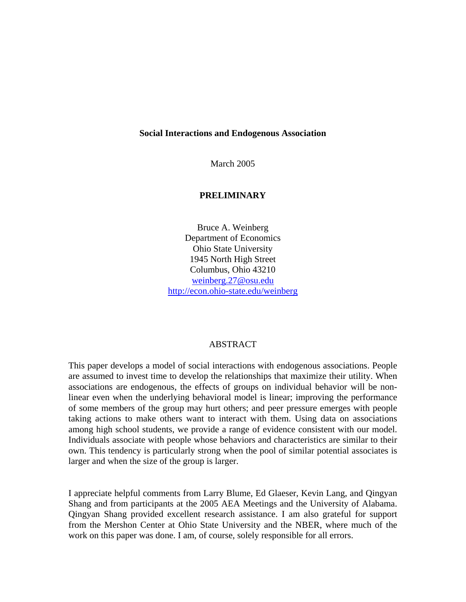## **Social Interactions and Endogenous Association**

March 2005

## **PRELIMINARY**

Bruce A. Weinberg Department of Economics Ohio State University 1945 North High Street Columbus, Ohio 43210 weinberg.27@osu.edu http://econ.ohio-state.edu/weinberg

## ABSTRACT

This paper develops a model of social interactions with endogenous associations. People are assumed to invest time to develop the relationships that maximize their utility. When associations are endogenous, the effects of groups on individual behavior will be nonlinear even when the underlying behavioral model is linear; improving the performance of some members of the group may hurt others; and peer pressure emerges with people taking actions to make others want to interact with them. Using data on associations among high school students, we provide a range of evidence consistent with our model. Individuals associate with people whose behaviors and characteristics are similar to their own. This tendency is particularly strong when the pool of similar potential associates is larger and when the size of the group is larger.

I appreciate helpful comments from Larry Blume, Ed Glaeser, Kevin Lang, and Qingyan Shang and from participants at the 2005 AEA Meetings and the University of Alabama. Qingyan Shang provided excellent research assistance. I am also grateful for support from the Mershon Center at Ohio State University and the NBER, where much of the work on this paper was done. I am, of course, solely responsible for all errors.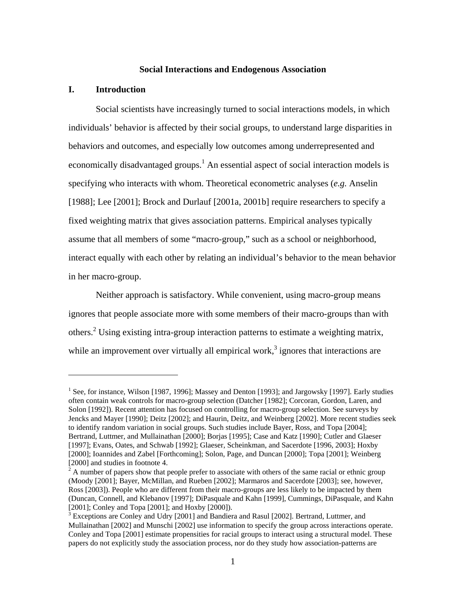#### **Social Interactions and Endogenous Association**

## **I. Introduction**

 $\overline{a}$ 

Social scientists have increasingly turned to social interactions models, in which individuals' behavior is affected by their social groups, to understand large disparities in behaviors and outcomes, and especially low outcomes among underrepresented and economically disadvantaged groups.<sup>1</sup> An essential aspect of social interaction models is specifying who interacts with whom. Theoretical econometric analyses (*e.g.* Anselin [1988]; Lee [2001]; Brock and Durlauf [2001a, 2001b] require researchers to specify a fixed weighting matrix that gives association patterns. Empirical analyses typically assume that all members of some "macro-group," such as a school or neighborhood, interact equally with each other by relating an individual's behavior to the mean behavior in her macro-group.

Neither approach is satisfactory. While convenient, using macro-group means ignores that people associate more with some members of their macro-groups than with others.<sup>2</sup> Using existing intra-group interaction patterns to estimate a weighting matrix, while an improvement over virtually all empirical work, $3$  ignores that interactions are

<sup>&</sup>lt;sup>1</sup> See, for instance, Wilson [1987, 1996]; Massey and Denton [1993]; and Jargowsky [1997]. Early studies often contain weak controls for macro-group selection (Datcher [1982]; Corcoran, Gordon, Laren, and Solon [1992]). Recent attention has focused on controlling for macro-group selection. See surveys by Jencks and Mayer [1990]; Deitz [2002]; and Haurin, Deitz, and Weinberg [2002]. More recent studies seek to identify random variation in social groups. Such studies include Bayer, Ross, and Topa [2004]; Bertrand, Luttmer, and Mullainathan [2000]; Borjas [1995]; Case and Katz [1990]; Cutler and Glaeser [1997]; Evans, Oates, and Schwab [1992]; Glaeser, Scheinkman, and Sacerdote [1996, 2003]; Hoxby [2000]; Ioannides and Zabel [Forthcoming]; Solon, Page, and Duncan [2000]; Topa [2001]; Weinberg

<sup>[2000]</sup> and studies in footnote 4.<br><sup>2</sup> A number of papers show that people prefer to associate with others of the same racial or ethnic group (Moody [2001]; Bayer, McMillan, and Rueben [2002]; Marmaros and Sacerdote [2003]; see, however, Ross [2003]). People who are different from their macro-groups are less likely to be impacted by them (Duncan, Connell, and Klebanov [1997]; DiPasquale and Kahn [1999], Cummings, DiPasquale, and Kahn [2001]; Conley and Topa [2001]; and Hoxby [2000]).

<sup>&</sup>lt;sup>3</sup> Exceptions are Conley and Udry [2001] and Bandiera and Rasul [2002]. Bertrand, Luttmer, and Mullainathan [2002] and Munschi [2002] use information to specify the group across interactions operate. Conley and Topa [2001] estimate propensities for racial groups to interact using a structural model. These papers do not explicitly study the association process, nor do they study how association-patterns are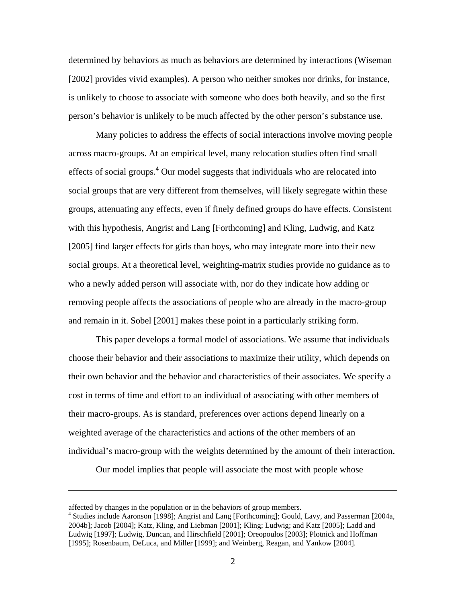determined by behaviors as much as behaviors are determined by interactions (Wiseman [2002] provides vivid examples). A person who neither smokes nor drinks, for instance, is unlikely to choose to associate with someone who does both heavily, and so the first person's behavior is unlikely to be much affected by the other person's substance use.

Many policies to address the effects of social interactions involve moving people across macro-groups. At an empirical level, many relocation studies often find small effects of social groups. $4$  Our model suggests that individuals who are relocated into social groups that are very different from themselves, will likely segregate within these groups, attenuating any effects, even if finely defined groups do have effects. Consistent with this hypothesis, Angrist and Lang [Forthcoming] and Kling, Ludwig, and Katz [2005] find larger effects for girls than boys, who may integrate more into their new social groups. At a theoretical level, weighting-matrix studies provide no guidance as to who a newly added person will associate with, nor do they indicate how adding or removing people affects the associations of people who are already in the macro-group and remain in it. Sobel [2001] makes these point in a particularly striking form.

This paper develops a formal model of associations. We assume that individuals choose their behavior and their associations to maximize their utility, which depends on their own behavior and the behavior and characteristics of their associates. We specify a cost in terms of time and effort to an individual of associating with other members of their macro-groups. As is standard, preferences over actions depend linearly on a weighted average of the characteristics and actions of the other members of an individual's macro-group with the weights determined by the amount of their interaction.

Our model implies that people will associate the most with people whose

<u>.</u>

affected by changes in the population or in the behaviors of group members.

<sup>4</sup> Studies include Aaronson [1998]; Angrist and Lang [Forthcoming]; Gould, Lavy, and Passerman [2004a, 2004b]; Jacob [2004]; Katz, Kling, and Liebman [2001]; Kling; Ludwig; and Katz [2005]; Ladd and Ludwig [1997]; Ludwig, Duncan, and Hirschfield [2001]; Oreopoulos [2003]; Plotnick and Hoffman [1995]; Rosenbaum, DeLuca, and Miller [1999]; and Weinberg, Reagan, and Yankow [2004].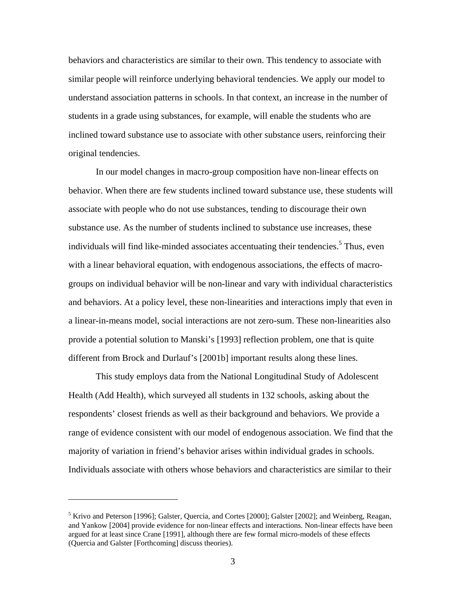behaviors and characteristics are similar to their own. This tendency to associate with similar people will reinforce underlying behavioral tendencies. We apply our model to understand association patterns in schools. In that context, an increase in the number of students in a grade using substances, for example, will enable the students who are inclined toward substance use to associate with other substance users, reinforcing their original tendencies.

In our model changes in macro-group composition have non-linear effects on behavior. When there are few students inclined toward substance use, these students will associate with people who do not use substances, tending to discourage their own substance use. As the number of students inclined to substance use increases, these individuals will find like-minded associates accentuating their tendencies.<sup>5</sup> Thus, even with a linear behavioral equation, with endogenous associations, the effects of macrogroups on individual behavior will be non-linear and vary with individual characteristics and behaviors. At a policy level, these non-linearities and interactions imply that even in a linear-in-means model, social interactions are not zero-sum. These non-linearities also provide a potential solution to Manski's [1993] reflection problem, one that is quite different from Brock and Durlauf's [2001b] important results along these lines.

This study employs data from the National Longitudinal Study of Adolescent Health (Add Health), which surveyed all students in 132 schools, asking about the respondents' closest friends as well as their background and behaviors. We provide a range of evidence consistent with our model of endogenous association. We find that the majority of variation in friend's behavior arises within individual grades in schools. Individuals associate with others whose behaviors and characteristics are similar to their

 $\overline{a}$ 

<sup>&</sup>lt;sup>5</sup> Krivo and Peterson [1996]; Galster, Quercia, and Cortes [2000]; Galster [2002]; and Weinberg, Reagan, and Yankow [2004] provide evidence for non-linear effects and interactions. Non-linear effects have been argued for at least since Crane [1991], although there are few formal micro-models of these effects (Quercia and Galster [Forthcoming] discuss theories).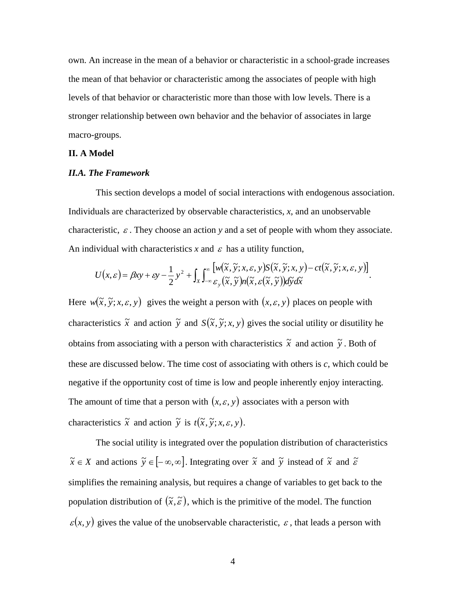own. An increase in the mean of a behavior or characteristic in a school-grade increases the mean of that behavior or characteristic among the associates of people with high levels of that behavior or characteristic more than those with low levels. There is a stronger relationship between own behavior and the behavior of associates in large macro-groups.

### **II. A Model**

## *II.A. The Framework*

This section develops a model of social interactions with endogenous association. Individuals are characterized by observable characteristics, *x*, and an unobservable characteristic,  $\varepsilon$ . They choose an action *y* and a set of people with whom they associate. An individual with characteristics  $x$  and  $\varepsilon$  has a utility function,

$$
U(x,\varepsilon) = \beta xy + \varepsilon y - \frac{1}{2} y^2 + \int_X \int_{-\infty}^{\infty} \frac{[w(\tilde{x}, \tilde{y}; x, \varepsilon, y) S(\tilde{x}, \tilde{y}; x, y) - ct(\tilde{x}, \tilde{y}; x, \varepsilon, y)]}{\varepsilon_y(\tilde{x}, \tilde{y}) n(\tilde{x}, \varepsilon(\tilde{x}, \tilde{y})) d\tilde{y} d\tilde{x}}.
$$

Here  $w(\tilde{x}, \tilde{y}; x, \varepsilon, y)$  gives the weight a person with  $(x, \varepsilon, y)$  places on people with characteristics  $\tilde{x}$  and action  $\tilde{y}$  and  $S(\tilde{x}, \tilde{y}; x, y)$  gives the social utility or disutility he obtains from associating with a person with characteristics  $\tilde{x}$  and action  $\tilde{y}$ . Both of these are discussed below. The time cost of associating with others is *c*, which could be negative if the opportunity cost of time is low and people inherently enjoy interacting. The amount of time that a person with  $(x, \varepsilon, y)$  associates with a person with characteristics  $\tilde{x}$  and action  $\tilde{y}$  is  $t(\tilde{x}, \tilde{y}; x, \varepsilon, y)$ .

The social utility is integrated over the population distribution of characteristics  $\tilde{x} \in X$  and actions  $\tilde{y} \in [-\infty, \infty]$ . Integrating over  $\tilde{x}$  and  $\tilde{y}$  instead of  $\tilde{x}$  and  $\tilde{\varepsilon}$ simplifies the remaining analysis, but requires a change of variables to get back to the population distribution of  $(\tilde{x}, \tilde{\varepsilon})$ , which is the primitive of the model. The function  $\varepsilon$ (x, y) gives the value of the unobservable characteristic,  $\varepsilon$ , that leads a person with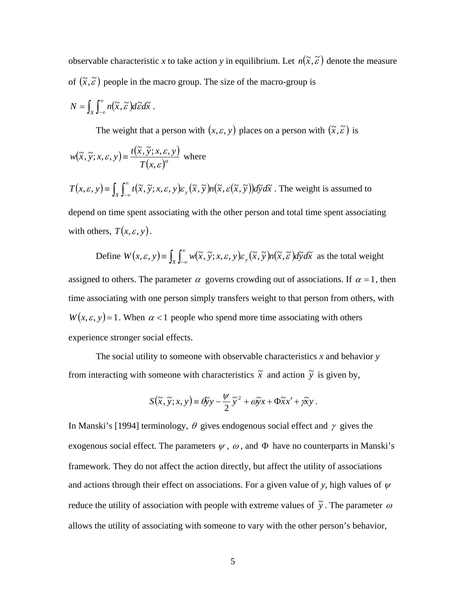observable characteristic x to take action y in equilibrium. Let  $n(\tilde{x}, \tilde{\varepsilon})$  denote the measure of  $(\tilde{x}, \tilde{\varepsilon})$  people in the macro group. The size of the macro-group is

$$
N=\int_X\int_{-\infty}^{\infty}n(\widetilde{x},\widetilde{\varepsilon})d\widetilde{\varepsilon}d\widetilde{x}.
$$

The weight that a person with  $(x, \varepsilon, y)$  places on a person with  $(\tilde{x}, \tilde{\varepsilon})$  is

$$
w(\tilde{x}, \tilde{y}; x, \varepsilon, y) \equiv \frac{t(\tilde{x}, \tilde{y}; x, \varepsilon, y)}{T(x, \varepsilon)^{\alpha}}
$$
 where

$$
T(x, \varepsilon, y) = \int_X \int_{-\infty}^{\infty} t(\tilde{x}, \tilde{y}; x, \varepsilon, y) \varepsilon_y(\tilde{x}, \tilde{y}) n(\tilde{x}, \varepsilon(\tilde{x}, \tilde{y})) d\tilde{y} d\tilde{x}
$$
. The weight is assumed to depend on time spent associating with the other person and total time spent associating

with others,  $T(x, \varepsilon, y)$ .

Define 
$$
W(x, \varepsilon, y) = \int_X \int_{-\infty}^{\infty} w(\tilde{x}, \tilde{y}; x, \varepsilon, y) \varepsilon_y(\tilde{x}, \tilde{y}) n(\tilde{x}, \tilde{\varepsilon}) d\tilde{y} d\tilde{x}
$$
 as the total weight assigned to others. The parameter  $\alpha$  governs crowding out of associations. If  $\alpha = 1$ , then

time associating with one person simply transfers weight to that person from others, with  $W(x, \varepsilon, y) = 1$ . When  $\alpha < 1$  people who spend more time associating with others experience stronger social effects.

The social utility to someone with observable characteristics *x* and behavior *y* from interacting with someone with characteristics  $\tilde{x}$  and action  $\tilde{y}$  is given by,

$$
S(\tilde{x}, \tilde{y}; x, y) = \mathcal{B} y - \frac{\psi}{2} \tilde{y}^2 + \omega \tilde{y} x + \Phi \tilde{x} x' + \gamma \tilde{x} y.
$$

In Manski's [1994] terminology,  $\theta$  gives endogenous social effect and  $\gamma$  gives the exogenous social effect. The parameters  $\psi$ ,  $\omega$ , and  $\Phi$  have no counterparts in Manski's framework. They do not affect the action directly, but affect the utility of associations and actions through their effect on associations. For a given value of *y*, high values of  $\psi$ reduce the utility of association with people with extreme values of  $\tilde{y}$ . The parameter  $\omega$ allows the utility of associating with someone to vary with the other person's behavior,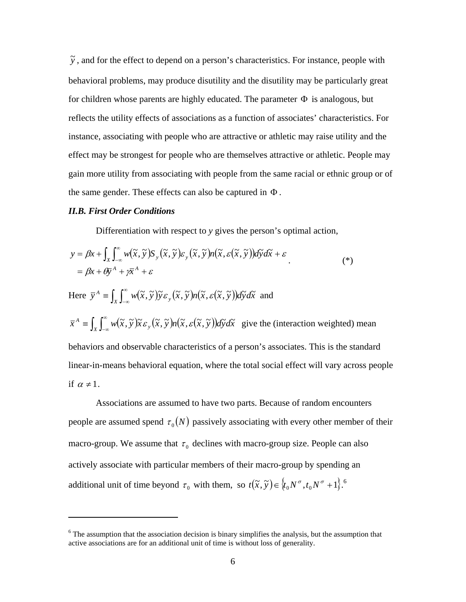$\tilde{y}$ , and for the effect to depend on a person's characteristics. For instance, people with behavioral problems, may produce disutility and the disutility may be particularly great for children whose parents are highly educated. The parameter  $\Phi$  is analogous, but reflects the utility effects of associations as a function of associates' characteristics. For instance, associating with people who are attractive or athletic may raise utility and the effect may be strongest for people who are themselves attractive or athletic. People may gain more utility from associating with people from the same racial or ethnic group or of the same gender. These effects can also be captured in Φ .

## *II.B. First Order Conditions*

 $\overline{a}$ 

Differentiation with respect to *y* gives the person's optimal action,

$$
y = \beta x + \int_{X} \int_{-\infty}^{\infty} w(\tilde{x}, \tilde{y}) S_{y}(\tilde{x}, \tilde{y}) \varepsilon_{y}(\tilde{x}, \tilde{y}) n(\tilde{x}, \varepsilon(\tilde{x}, \tilde{y})) d\tilde{y} d\tilde{x} + \varepsilon
$$
  
=  $\beta x + \theta \overline{y}^{A} + \gamma \overline{x}^{A} + \varepsilon$  (\*)

Here 
$$
\bar{y}^A = \int_X \int_{-\infty}^{\infty} w(\tilde{x}, \tilde{y}) \tilde{y} \varepsilon_y(\tilde{x}, \tilde{y}) n(\tilde{x}, \varepsilon(\tilde{x}, \tilde{y})) d\tilde{y} d\tilde{x}
$$
 and  
\n $\bar{x}^A = \int_X \int_{-\infty}^{\infty} w(\tilde{x}, \tilde{y}) \tilde{x} \varepsilon_y(\tilde{x}, \tilde{y}) n(\tilde{x}, \varepsilon(\tilde{x}, \tilde{y})) d\tilde{y} d\tilde{x}$  give the (interaction weighted) mean  
\nbehavors and observable characteristics of a person's associates. This is the standard  
\nlinear-in-means behavioral equation, where the total social effect will vary across people  
\nif  $\alpha \neq 1$ .

Associations are assumed to have two parts. Because of random encounters people are assumed spend  $\tau_0(N)$  passively associating with every other member of their macro-group. We assume that  $\tau_0$  declines with macro-group size. People can also actively associate with particular members of their macro-group by spending an additional unit of time beyond  $\tau_0$  with them, so  $t(\tilde{x}, \tilde{y}) \in \{t_0 N^{\sigma}, t_0 N^{\sigma} + 1\}$ .

 $6$  The assumption that the association decision is binary simplifies the analysis, but the assumption that active associations are for an additional unit of time is without loss of generality.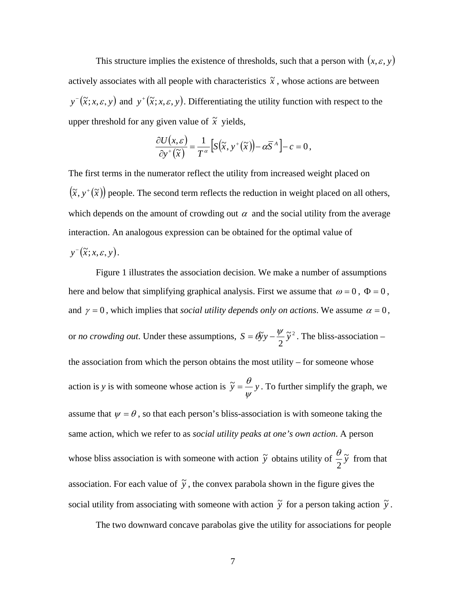This structure implies the existence of thresholds, such that a person with  $(x, \varepsilon, y)$ actively associates with all people with characteristics  $\tilde{x}$ , whose actions are between  $y^{-}(\tilde{x}; x, \varepsilon, y)$  and  $y^{+}(\tilde{x}; x, \varepsilon, y)$ . Differentiating the utility function with respect to the upper threshold for any given value of  $\tilde{x}$  yields,

$$
\frac{\partial U(x,\varepsilon)}{\partial y^{\dagger}(\tilde{x})} = \frac{1}{T^{\alpha}} \Big[ S(\tilde{x}, y^{\dagger}(\tilde{x})) - \alpha \overline{S}^{A} \Big] - c = 0,
$$

The first terms in the numerator reflect the utility from increased weight placed on  $(\tilde{x}, y^+(\tilde{x}))$  people. The second term reflects the reduction in weight placed on all others, which depends on the amount of crowding out  $\alpha$  and the social utility from the average interaction. An analogous expression can be obtained for the optimal value of  $y^-(\tilde{x}; x, \varepsilon, y)$ .

Figure 1 illustrates the association decision. We make a number of assumptions here and below that simplifying graphical analysis. First we assume that  $\omega = 0$ ,  $\Phi = 0$ , and  $\gamma = 0$ , which implies that *social utility depends only on actions*. We assume  $\alpha = 0$ , or *no crowding out*. Under these assumptions,  $S = \theta y - \frac{\psi}{c} \tilde{y}^2$ 2  $S = \mathcal{B}y - \frac{\psi}{2}\tilde{y}^2$ . The bliss-association – the association from which the person obtains the most utility – for someone whose action is *y* is with someone whose action is  $\tilde{y} = -y$ ψ  $\tilde{y} = \frac{\theta}{y}$ . To further simplify the graph, we assume that  $\psi = \theta$ , so that each person's bliss-association is with someone taking the same action, which we refer to as *social utility peaks at one's own action*. A person whose bliss association is with someone with action  $\tilde{y}$  obtains utility of  $\frac{\theta}{\tau} \tilde{y}$ 2  $\frac{\theta}{2}$  from that association. For each value of  $\tilde{y}$ , the convex parabola shown in the figure gives the social utility from associating with someone with action  $\tilde{y}$  for a person taking action  $\tilde{y}$ .

The two downward concave parabolas give the utility for associations for people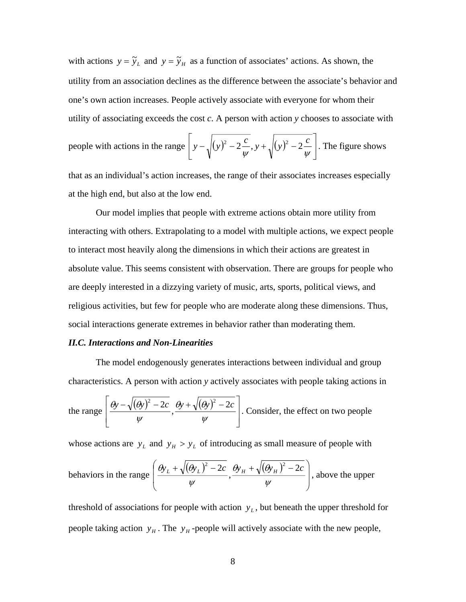with actions  $y = \tilde{y}_L$  and  $y = \tilde{y}_H$  as a function of associates' actions. As shown, the utility from an association declines as the difference between the associate's behavior and one's own action increases. People actively associate with everyone for whom their utility of associating exceeds the cost *c*. A person with action *y* chooses to associate with

people with actions in the range 
$$
\left[ y - \sqrt{(y)^2 - 2\frac{c}{\psi}}, y + \sqrt{(y)^2 - 2\frac{c}{\psi}} \right]
$$
. The figure shows

that as an individual's action increases, the range of their associates increases especially at the high end, but also at the low end.

Our model implies that people with extreme actions obtain more utility from interacting with others. Extrapolating to a model with multiple actions, we expect people to interact most heavily along the dimensions in which their actions are greatest in absolute value. This seems consistent with observation. There are groups for people who are deeply interested in a dizzying variety of music, arts, sports, political views, and religious activities, but few for people who are moderate along these dimensions. Thus, social interactions generate extremes in behavior rather than moderating them.

## *II.C. Interactions and Non-Linearities*

The model endogenously generates interactions between individual and group characteristics. A person with action *y* actively associates with people taking actions in

the range 
$$
\left[\frac{\theta y - \sqrt{(\theta y)^2 - 2c}}{\psi}, \frac{\theta y + \sqrt{(\theta y)^2 - 2c}}{\psi}\right]
$$
. Consider, the effect on two people

whose actions are  $y_L$  and  $y_H > y_L$  of introducing as small measure of people with

behavors in the range 
$$
\left(\frac{\theta y_L + \sqrt{(\theta y_L)^2 - 2c}}{\psi}, \frac{\theta y_H + \sqrt{(\theta y_H)^2 - 2c}}{\psi}\right)
$$
, above the upper

threshold of associations for people with action  $y<sub>L</sub>$ , but beneath the upper threshold for people taking action  $y_H$ . The  $y_H$ -people will actively associate with the new people,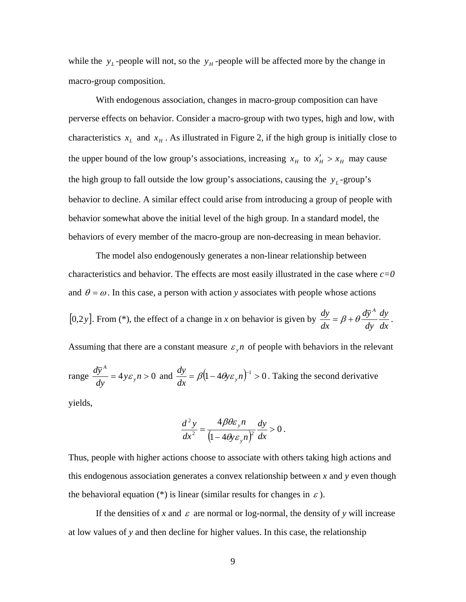while the  $y_L$ -people will not, so the  $y_H$ -people will be affected more by the change in macro-group composition.

With endogenous association, changes in macro-group composition can have perverse effects on behavior. Consider a macro-group with two types, high and low, with characteristics  $x_L$  and  $x_H$ . As illustrated in Figure 2, if the high group is initially close to the upper bound of the low group's associations, increasing  $x_H$  to  $x'_H > x_H$  may cause the high group to fall outside the low group's associations, causing the  $y_L$ -group's behavior to decline. A similar effect could arise from introducing a group of people with behavior somewhat above the initial level of the high group. In a standard model, the behaviors of every member of the macro-group are non-decreasing in mean behavior.

The model also endogenously generates a non-linear relationship between characteristics and behavior. The effects are most easily illustrated in the case where  $c=0$ and  $\theta = \omega$ . In this case, a person with action *y* associates with people whose actions [0,2*y*]. From (\*), the effect of a change in *x* on behavior is given by  $\frac{dy}{dx} = \beta + \theta \frac{d\bar{y}^A}{dy} \frac{dy}{dx}$ *dy dy dx*  $\frac{dy}{dt} = \beta + \theta \frac{d\overline{y}^A}{dt} \frac{dy}{dt}$ . Assuming that there are a constant measure  $\varepsilon_n$  of people with behaviors in the relevant range  $\frac{dy}{dx}$  = 4*y* $\varepsilon_v$ *n* > 0 *dy dy y*  $A^A = 4 y \varepsilon_v n > 0$  and  $\frac{dy}{dx} = \beta (1 - 4 \theta y \varepsilon_v n)^{-1} > 0$ *dx*  $\frac{dy}{dx} = \beta (1 - 4\theta y \varepsilon_y n)^{-1} > 0$ . Taking the second derivative yields,

$$
\frac{d^2 y}{dx^2} = \frac{4\beta\theta\varepsilon_y n}{\left(1 - 4\theta y \varepsilon_y n\right)^2} \frac{dy}{dx} > 0.
$$

Thus, people with higher actions choose to associate with others taking high actions and this endogenous association generates a convex relationship between *x* and *y* even though the behavioral equation (\*) is linear (similar results for changes in  $\varepsilon$ ).

If the densities of x and  $\varepsilon$  are normal or log-normal, the density of y will increase at low values of *y* and then decline for higher values. In this case, the relationship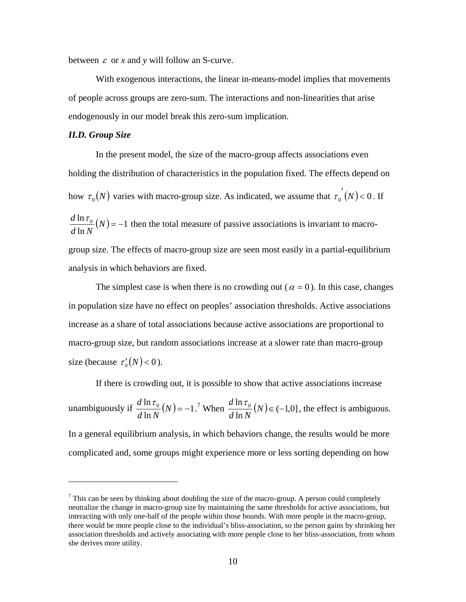between  $\varepsilon$  or x and y will follow an S-curve.

With exogenous interactions, the linear in-means-model implies that movements of people across groups are zero-sum. The interactions and non-linearities that arise endogenously in our model break this zero-sum implication.

## *II.D. Group Size*

1

In the present model, the size of the macro-group affects associations even holding the distribution of characteristics in the population fixed. The effects depend on how  $\tau_0(N)$  varies with macro-group size. As indicated, we assume that  $\tau_0'(N) < 0$ . If  $(N) = -1$  $\frac{d \ln \tau_0}{d \ln N}(N) = -1$  then the total measure of passive associations is invariant to macrogroup size. The effects of macro-group size are seen most easily in a partial-equilibrium analysis in which behaviors are fixed.

The simplest case is when there is no crowding out ( $\alpha = 0$ ). In this case, changes in population size have no effect on peoples' association thresholds. Active associations increase as a share of total associations because active associations are proportional to macro-group size, but random associations increase at a slower rate than macro-group size (because  $\tau_0'(N) < 0$ ).

If there is crowding out, it is possible to show that active associations increase

unambiguously if 
$$
\frac{d \ln \tau_0}{d \ln N}(N) = -1
$$
.<sup>7</sup> When  $\frac{d \ln \tau_0}{d \ln N}(N) \in (-1,0]$ , the effect is ambiguous.

In a general equilibrium analysis, in which behaviors change, the results would be more complicated and, some groups might experience more or less sorting depending on how

 $<sup>7</sup>$  This can be seen by thinking about doubling the size of the macro-group. A person could completely</sup> neutralize the change in macro-group size by maintaining the same thresholds for active associations, but interacting with only one-half of the people within those bounds. With more people in the macro-group, there would be more people close to the individual's bliss-association, so the person gains by shrinking her association thresholds and actively associating with more people close to her bliss-association, from whom she derives more utility.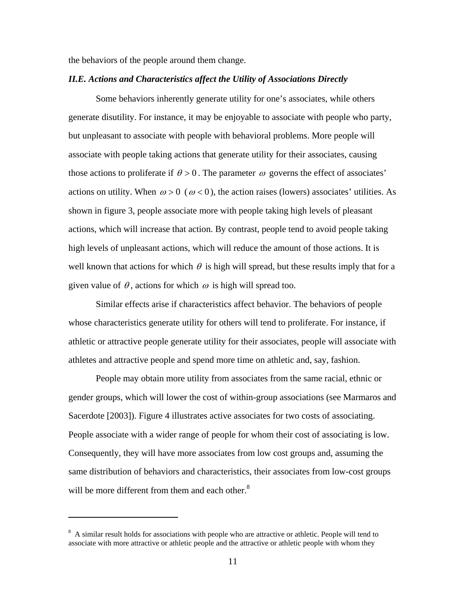the behaviors of the people around them change.

## *II.E. Actions and Characteristics affect the Utility of Associations Directly*

Some behaviors inherently generate utility for one's associates, while others generate disutility. For instance, it may be enjoyable to associate with people who party, but unpleasant to associate with people with behavioral problems. More people will associate with people taking actions that generate utility for their associates, causing those actions to proliferate if  $\theta > 0$ . The parameter  $\omega$  governs the effect of associates' actions on utility. When  $\omega > 0$  ( $\omega < 0$ ), the action raises (lowers) associates' utilities. As shown in figure 3, people associate more with people taking high levels of pleasant actions, which will increase that action. By contrast, people tend to avoid people taking high levels of unpleasant actions, which will reduce the amount of those actions. It is well known that actions for which  $\theta$  is high will spread, but these results imply that for a given value of  $\theta$ , actions for which  $\omega$  is high will spread too.

Similar effects arise if characteristics affect behavior. The behaviors of people whose characteristics generate utility for others will tend to proliferate. For instance, if athletic or attractive people generate utility for their associates, people will associate with athletes and attractive people and spend more time on athletic and, say, fashion.

People may obtain more utility from associates from the same racial, ethnic or gender groups, which will lower the cost of within-group associations (see Marmaros and Sacerdote [2003]). Figure 4 illustrates active associates for two costs of associating. People associate with a wider range of people for whom their cost of associating is low. Consequently, they will have more associates from low cost groups and, assuming the same distribution of behaviors and characteristics, their associates from low-cost groups will be more different from them and each other. $8<sup>8</sup>$ 

1

<sup>&</sup>lt;sup>8</sup> A similar result holds for associations with people who are attractive or athletic. People will tend to associate with more attractive or athletic people and the attractive or athletic people with whom they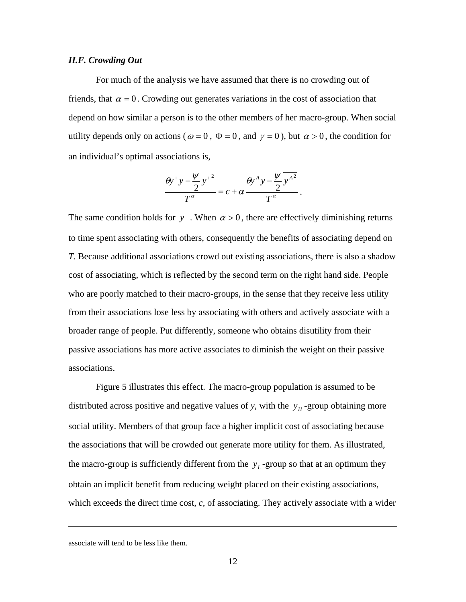#### *II.F. Crowding Out*

For much of the analysis we have assumed that there is no crowding out of friends, that  $\alpha = 0$ . Crowding out generates variations in the cost of association that depend on how similar a person is to the other members of her macro-group. When social utility depends only on actions ( $\omega = 0$ ,  $\Phi = 0$ , and  $\gamma = 0$ ), but  $\alpha > 0$ , the condition for an individual's optimal associations is,

$$
\frac{\theta y^+ y - \frac{\psi}{2} y^+}{T^{\alpha}} = c + \alpha \frac{\theta y^A y - \frac{\psi}{2} y^{\frac{\alpha^2}{2}}}{T^{\alpha}}.
$$

The same condition holds for  $y^-$ . When  $\alpha > 0$ , there are effectively diminishing returns to time spent associating with others, consequently the benefits of associating depend on *T*. Because additional associations crowd out existing associations, there is also a shadow cost of associating, which is reflected by the second term on the right hand side. People who are poorly matched to their macro-groups, in the sense that they receive less utility from their associations lose less by associating with others and actively associate with a broader range of people. Put differently, someone who obtains disutility from their passive associations has more active associates to diminish the weight on their passive associations.

Figure 5 illustrates this effect. The macro-group population is assumed to be distributed across positive and negative values of *y*, with the  $y<sub>H</sub>$ -group obtaining more social utility. Members of that group face a higher implicit cost of associating because the associations that will be crowded out generate more utility for them. As illustrated, the macro-group is sufficiently different from the  $y_L$ -group so that at an optimum they obtain an implicit benefit from reducing weight placed on their existing associations, which exceeds the direct time cost, *c*, of associating. They actively associate with a wider

1

associate will tend to be less like them.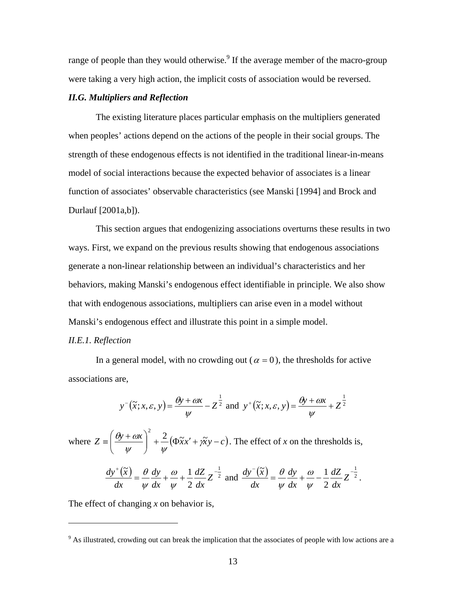range of people than they would otherwise.<sup>9</sup> If the average member of the macro-group were taking a very high action, the implicit costs of association would be reversed.

## *II.G. Multipliers and Reflection*

The existing literature places particular emphasis on the multipliers generated when peoples' actions depend on the actions of the people in their social groups. The strength of these endogenous effects is not identified in the traditional linear-in-means model of social interactions because the expected behavior of associates is a linear function of associates' observable characteristics (see Manski [1994] and Brock and Durlauf [2001a,b]).

This section argues that endogenizing associations overturns these results in two ways. First, we expand on the previous results showing that endogenous associations generate a non-linear relationship between an individual's characteristics and her behaviors, making Manski's endogenous effect identifiable in principle. We also show that with endogenous associations, multipliers can arise even in a model without Manski's endogenous effect and illustrate this point in a simple model.

## *II.E.1. Reflection*

 $\overline{a}$ 

In a general model, with no crowding out ( $\alpha = 0$ ), the thresholds for active associations are,

$$
y^{-}(\widetilde{x}; x, \varepsilon, y) = \frac{\theta y + \omega x}{\psi} - Z^{\frac{1}{2}} \text{ and } y^{+}(\widetilde{x}; x, \varepsilon, y) = \frac{\theta y + \omega x}{\psi} + Z^{\frac{1}{2}}
$$

where  $Z = \left( \frac{\theta y + \omega x}{\omega x} \right)^2 + \frac{2}{\omega x} (\Phi x + \omega x + \omega y - c)$  $\left(\frac{\theta y + \omega x}{\psi}\right)$ ⎝  $\equiv \left(\frac{\theta y + \alpha x}{x}\right)^2 + \frac{2}{\alpha}(\Phi x + \alpha x)$ ψ ψ  $\left[\frac{\partial y + \alpha x}{\partial x^2} + \frac{2}{\alpha x^2 + \alpha y - c}\right]$ . The effect of *x* on the thresholds is,  $\left(\frac{\widetilde{x}}{x}\right) = \frac{\theta}{x} dy + \frac{\omega}{x} + \frac{1}{x} dZ - \frac{1}{2}$ 2  $\frac{1}{\sqrt{1-x}} = \frac{\theta}{2} \frac{dy}{dx} + \frac{\omega}{2} + \frac{1}{2} \frac{dZ}{dx}Z^{-1}$ *dx dZ dx dy dx*  $dy^{\text{*}}(\widetilde{x})$ ψ ω ψ  $\frac{\theta}{\theta} \frac{dy}{dx} + \frac{\omega}{\theta} + \frac{1}{2} \frac{dZ}{dx} Z^{-\frac{1}{2}}$  and  $\frac{dy^{-1}(\tilde{x})}{dx^{1}} = \frac{\theta}{\theta} \frac{dy}{dx} + \frac{\omega}{\theta} - \frac{1}{2} \frac{dZ}{dx} Z^{-\frac{1}{2}}$ 2  $\frac{1}{\sqrt{1-x}} = \frac{\theta}{2} \frac{dy}{dx} + \frac{\omega}{2} - \frac{1}{2} \frac{dZ}{dx}Z^{-1}$ *dx dZ dx dy dx*  $dy$ <sup>-</sup> $(\tilde{x}$ ψ ω ψ  $\frac{\theta}{2} \frac{dy}{dx} + \frac{\omega}{2} - \frac{1}{2} \frac{dZ}{dx} Z^{-\frac{1}{2}}$ .

The effect of changing *x* on behavior is,

<sup>&</sup>lt;sup>9</sup> As illustrated, crowding out can break the implication that the associates of people with low actions are a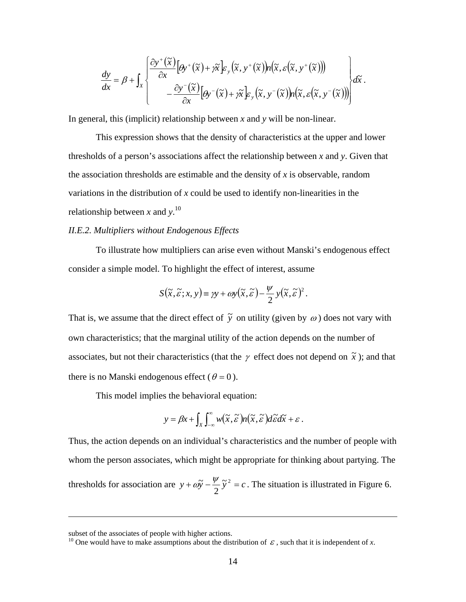$$
\frac{dy}{dx} = \beta + \int_{X} \left\{ \frac{\partial y^{+}(\tilde{x})}{\partial x} \left[ \theta y^{+}(\tilde{x}) + \gamma \tilde{x} \right] \varepsilon_{y}(\tilde{x}, y^{+}(\tilde{x})) n(\tilde{x}, \varepsilon(\tilde{x}, y^{+}(\tilde{x}))) - \frac{\partial y^{-}(\tilde{x})}{\partial x} \left[ \theta y^{-}(\tilde{x}) + \gamma \tilde{x} \right] \varepsilon_{y}(\tilde{x}, y^{-}(\tilde{x})) n(\tilde{x}, \varepsilon(\tilde{x}, y^{-}(\tilde{x}))) \right\} d\tilde{x}.
$$

In general, this (implicit) relationship between *x* and *y* will be non-linear.

This expression shows that the density of characteristics at the upper and lower thresholds of a person's associations affect the relationship between *x* and *y*. Given that the association thresholds are estimable and the density of *x* is observable, random variations in the distribution of *x* could be used to identify non-linearities in the relationship between *x* and *y*. 10

## *II.E.2. Multipliers without Endogenous Effects*

To illustrate how multipliers can arise even without Manski's endogenous effect consider a simple model. To highlight the effect of interest, assume

$$
S(\widetilde{x}, \widetilde{\varepsilon}; x, y) \equiv \gamma y + \omega y(\widetilde{x}, \widetilde{\varepsilon}) - \frac{\psi}{2} y(\widetilde{x}, \widetilde{\varepsilon})^{2}.
$$

That is, we assume that the direct effect of  $\tilde{y}$  on utility (given by  $\omega$ ) does not vary with own characteristics; that the marginal utility of the action depends on the number of associates, but not their characteristics (that the  $\gamma$  effect does not depend on  $\tilde{x}$ ); and that there is no Manski endogenous effect ( $\theta = 0$ ).

This model implies the behavioral equation:

$$
y = \beta x + \int_X \int_{-\infty}^{\infty} w(\widetilde{x}, \widetilde{\varepsilon}) n(\widetilde{x}, \widetilde{\varepsilon}) d\widetilde{\varepsilon} d\widetilde{x} + \varepsilon.
$$

Thus, the action depends on an individual's characteristics and the number of people with whom the person associates, which might be appropriate for thinking about partying. The thresholds for association are  $y + \omega \tilde{y} - \frac{\psi}{\tilde{y}} \tilde{y}^2 = c$ 2  $\omega \widetilde{y} - \frac{\psi}{c} \widetilde{y}^2 = c$ . The situation is illustrated in Figure 6.

 $\overline{a}$ 

subset of the associates of people with higher actions.

<sup>&</sup>lt;sup>10</sup> One would have to make assumptions about the distribution of  $\epsilon$ , such that it is independent of *x*.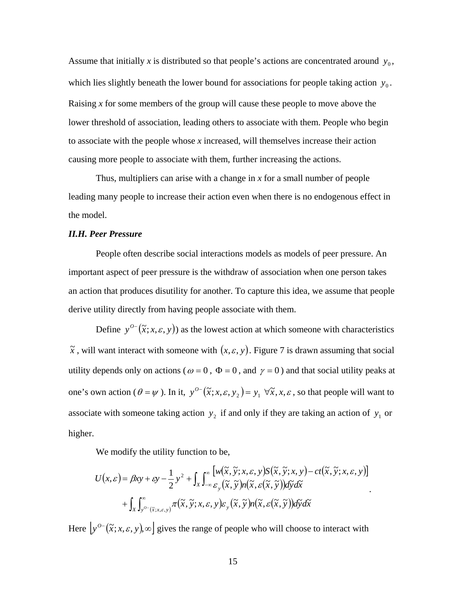Assume that initially *x* is distributed so that people's actions are concentrated around  $y_0$ , which lies slightly beneath the lower bound for associations for people taking action  $y_0$ . Raising *x* for some members of the group will cause these people to move above the lower threshold of association, leading others to associate with them. People who begin to associate with the people whose *x* increased, will themselves increase their action causing more people to associate with them, further increasing the actions.

Thus, multipliers can arise with a change in *x* for a small number of people leading many people to increase their action even when there is no endogenous effect in the model.

## *II.H. Peer Pressure*

People often describe social interactions models as models of peer pressure. An important aspect of peer pressure is the withdraw of association when one person takes an action that produces disutility for another. To capture this idea, we assume that people derive utility directly from having people associate with them.

Define  $y^{0}$   $(\tilde{x}; x, \varepsilon, y)$  as the lowest action at which someone with characteristics  $\tilde{x}$ , will want interact with someone with  $(x, \varepsilon, y)$ . Figure 7 is drawn assuming that social utility depends only on actions ( $\omega = 0$ ,  $\Phi = 0$ , and  $\gamma = 0$ ) and that social utility peaks at one's own action ( $\theta = \psi$ ). In it,  $y^{0-}(\tilde{x}; x, \varepsilon, y_2) = y_1 \ \forall \tilde{x}, x, \varepsilon$ , so that people will want to associate with someone taking action  $y_2$  if and only if they are taking an action of  $y_1$  or higher.

We modify the utility function to be,

$$
U(x,\varepsilon) = \beta xy + \varepsilon y - \frac{1}{2} y^2 + \int_X \int_{-\infty}^{\infty} \left[ w(\tilde{x}, \tilde{y}; x, \varepsilon, y) S(\tilde{x}, \tilde{y}; x, y) - ct(\tilde{x}, \tilde{y}; x, \varepsilon, y) \right]
$$
  
+ 
$$
\int_X \int_{y^{\circ}(\tilde{x}; x, \varepsilon, y)}^{\infty} \pi(\tilde{x}, \tilde{y}; x, \varepsilon, y) \varepsilon_y(\tilde{x}, \tilde{y}) n(\tilde{x}, \varepsilon(\tilde{x}, \tilde{y})) d\tilde{y} d\tilde{x}
$$

.

Here  $[y^{0-}(\tilde{x}; x, \varepsilon, y), \infty]$  gives the range of people who will choose to interact with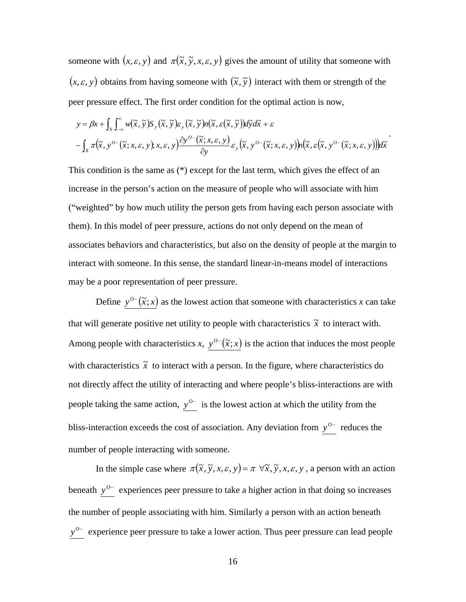someone with  $(x, \varepsilon, y)$  and  $\pi(\tilde{x}, \tilde{y}, x, \varepsilon, y)$  gives the amount of utility that someone with  $(x, \varepsilon, y)$  obtains from having someone with  $(\tilde{x}, \tilde{y})$  interact with them or strength of the peer pressure effect. The first order condition for the optimal action is now,

$$
y = \beta x + \int_{X} \int_{-\infty}^{\infty} w(\tilde{x}, \tilde{y}) S_{y}(\tilde{x}, \tilde{y}) \varepsilon_{y}(\tilde{x}, \tilde{y}) n(\tilde{x}, \varepsilon(\tilde{x}, \tilde{y})) d\tilde{y} d\tilde{x} + \varepsilon
$$
  
- 
$$
\int_{X} \pi(\tilde{x}, y^{o-}(\tilde{x}; x, \varepsilon, y); x, \varepsilon, y) \frac{\partial y^{o-}(\tilde{x}; x, \varepsilon, y)}{\partial y} \varepsilon_{y}(\tilde{x}, y^{o-}(\tilde{x}; x, \varepsilon, y)) n(\tilde{x}, \varepsilon(\tilde{x}, y^{o-}(\tilde{x}; x, \varepsilon, y))) d\tilde{x}
$$

.

This condition is the same as (\*) except for the last term, which gives the effect of an increase in the person's action on the measure of people who will associate with him ("weighted" by how much utility the person gets from having each person associate with them). In this model of peer pressure, actions do not only depend on the mean of associates behaviors and characteristics, but also on the density of people at the margin to interact with someone. In this sense, the standard linear-in-means model of interactions may be a poor representation of peer pressure.

Define  $y^{0-}(\tilde{x};x)$  as the lowest action that someone with characteristics *x* can take that will generate positive net utility to people with characteristics  $\tilde{x}$  to interact with. Among people with characteristics *x*,  $y^{0-}(\tilde{x};x)$  is the action that induces the most people with characteristics  $\tilde{x}$  to interact with a person. In the figure, where characteristics do not directly affect the utility of interacting and where people's bliss-interactions are with people taking the same action,  $y^{0-}$  is the lowest action at which the utility from the bliss-interaction exceeds the cost of association. Any deviation from  $y^{0-}$  reduces the number of people interacting with someone.

In the simple case where  $\pi(\tilde{x}, \tilde{y}, x, \varepsilon, y) = \pi \ \forall \tilde{x}, \tilde{y}, x, \varepsilon, y$ , a person with an action beneath  $y^0$ <sup>−</sup> experiences peer pressure to take a higher action in that doing so increases the number of people associating with him. Similarly a person with an action beneath *y*<sup>o−</sup> experience peer pressure to take a lower action. Thus peer pressure can lead people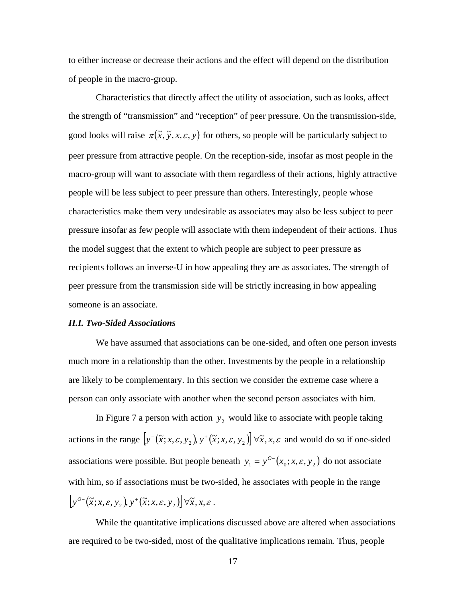to either increase or decrease their actions and the effect will depend on the distribution of people in the macro-group.

Characteristics that directly affect the utility of association, such as looks, affect the strength of "transmission" and "reception" of peer pressure. On the transmission-side, good looks will raise  $\pi(\tilde{x}, \tilde{y}, x, \varepsilon, y)$  for others, so people will be particularly subject to peer pressure from attractive people. On the reception-side, insofar as most people in the macro-group will want to associate with them regardless of their actions, highly attractive people will be less subject to peer pressure than others. Interestingly, people whose characteristics make them very undesirable as associates may also be less subject to peer pressure insofar as few people will associate with them independent of their actions. Thus the model suggest that the extent to which people are subject to peer pressure as recipients follows an inverse-U in how appealing they are as associates. The strength of peer pressure from the transmission side will be strictly increasing in how appealing someone is an associate.

### *II.I. Two-Sided Associations*

We have assumed that associations can be one-sided, and often one person invests much more in a relationship than the other. Investments by the people in a relationship are likely to be complementary. In this section we consider the extreme case where a person can only associate with another when the second person associates with him.

In Figure 7 a person with action  $y_2$  would like to associate with people taking actions in the range  $\left[ y^-(\tilde{x}; x, \varepsilon, y_2), y^+(\tilde{x}; x, \varepsilon, y_2) \right] \forall \tilde{x}, x, \varepsilon$  and would do so if one-sided associations were possible. But people beneath  $y_1 = y^{0-}(x_0; x, \varepsilon, y_2)$  do not associate with him, so if associations must be two-sided, he associates with people in the range  $[y^{o-}(\tilde{x}; x, \varepsilon, y, y, y^+(\tilde{x}; x, \varepsilon, y, y)] \forall \tilde{x}, x, \varepsilon.$ 

While the quantitative implications discussed above are altered when associations are required to be two-sided, most of the qualitative implications remain. Thus, people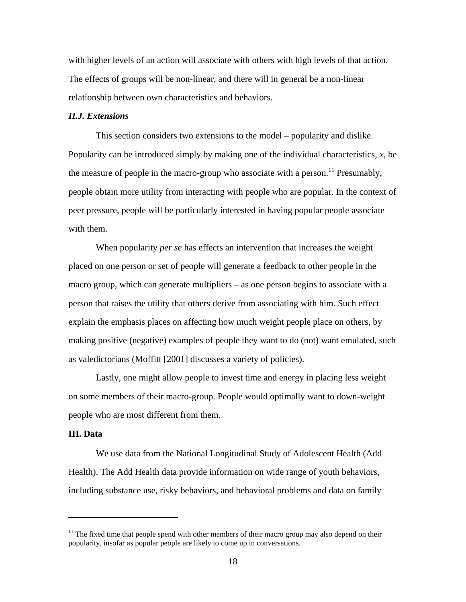with higher levels of an action will associate with others with high levels of that action. The effects of groups will be non-linear, and there will in general be a non-linear relationship between own characteristics and behaviors.

#### *II.J. Extensions*

This section considers two extensions to the model – popularity and dislike. Popularity can be introduced simply by making one of the individual characteristics, *x*, be the measure of people in the macro-group who associate with a person.<sup>11</sup> Presumably, people obtain more utility from interacting with people who are popular. In the context of peer pressure, people will be particularly interested in having popular people associate with them.

When popularity *per se* has effects an intervention that increases the weight placed on one person or set of people will generate a feedback to other people in the macro group, which can generate multipliers – as one person begins to associate with a person that raises the utility that others derive from associating with him. Such effect explain the emphasis places on affecting how much weight people place on others, by making positive (negative) examples of people they want to do (not) want emulated, such as valedictorians (Moffitt [2001] discusses a variety of policies).

Lastly, one might allow people to invest time and energy in placing less weight on some members of their macro-group. People would optimally want to down-weight people who are most different from them.

#### **III. Data**

 $\overline{a}$ 

We use data from the National Longitudinal Study of Adolescent Health (Add Health). The Add Health data provide information on wide range of youth behaviors, including substance use, risky behaviors, and behavioral problems and data on family

 $11$  The fixed time that people spend with other members of their macro group may also depend on their popularity, insofar as popular people are likely to come up in conversations.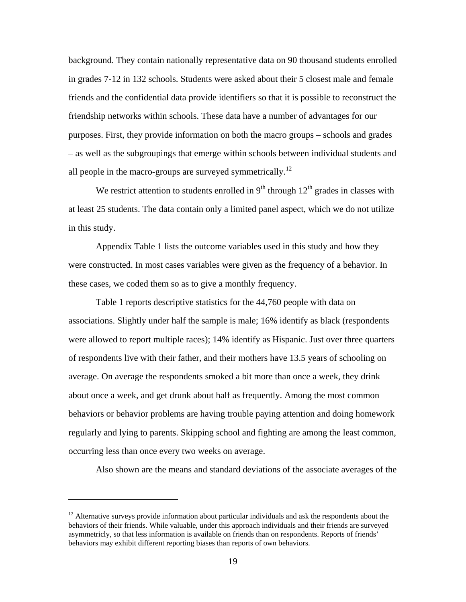background. They contain nationally representative data on 90 thousand students enrolled in grades 7-12 in 132 schools. Students were asked about their 5 closest male and female friends and the confidential data provide identifiers so that it is possible to reconstruct the friendship networks within schools. These data have a number of advantages for our purposes. First, they provide information on both the macro groups – schools and grades – as well as the subgroupings that emerge within schools between individual students and all people in the macro-groups are surveyed symmetrically.<sup>12</sup>

We restrict attention to students enrolled in  $9<sup>th</sup>$  through  $12<sup>th</sup>$  grades in classes with at least 25 students. The data contain only a limited panel aspect, which we do not utilize in this study.

Appendix Table 1 lists the outcome variables used in this study and how they were constructed. In most cases variables were given as the frequency of a behavior. In these cases, we coded them so as to give a monthly frequency.

Table 1 reports descriptive statistics for the 44,760 people with data on associations. Slightly under half the sample is male; 16% identify as black (respondents were allowed to report multiple races); 14% identify as Hispanic. Just over three quarters of respondents live with their father, and their mothers have 13.5 years of schooling on average. On average the respondents smoked a bit more than once a week, they drink about once a week, and get drunk about half as frequently. Among the most common behaviors or behavior problems are having trouble paying attention and doing homework regularly and lying to parents. Skipping school and fighting are among the least common, occurring less than once every two weeks on average.

Also shown are the means and standard deviations of the associate averages of the

 $\overline{a}$ 

 $12$  Alternative surveys provide information about particular individuals and ask the respondents about the behaviors of their friends. While valuable, under this approach individuals and their friends are surveyed asymmetricly, so that less information is available on friends than on respondents. Reports of friends' behaviors may exhibit different reporting biases than reports of own behaviors.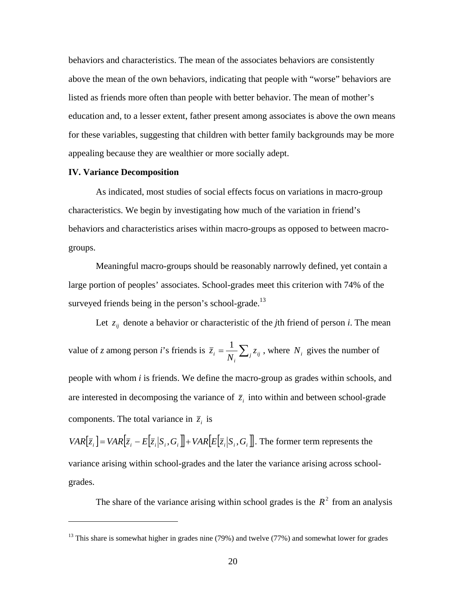behaviors and characteristics. The mean of the associates behaviors are consistently above the mean of the own behaviors, indicating that people with "worse" behaviors are listed as friends more often than people with better behavior. The mean of mother's education and, to a lesser extent, father present among associates is above the own means for these variables, suggesting that children with better family backgrounds may be more appealing because they are wealthier or more socially adept.

#### **IV. Variance Decomposition**

 $\overline{a}$ 

As indicated, most studies of social effects focus on variations in macro-group characteristics. We begin by investigating how much of the variation in friend's behaviors and characteristics arises within macro-groups as opposed to between macrogroups.

Meaningful macro-groups should be reasonably narrowly defined, yet contain a large portion of peoples' associates. School-grades meet this criterion with 74% of the surveyed friends being in the person's school-grade.<sup>13</sup>

Let  $z_{ij}$  denote a behavior or characteristic of the *j*th friend of person *i*. The mean value of *z* among person *i*'s friends is  $\overline{z}_i = \frac{1}{N_i} \sum_j z_{ij}$  $\sum_{i} = \frac{1}{N_i} \sum_{j} z_j$  $\overline{z}_i = \frac{1}{N} \sum_{i} z_{ij}$ , where  $N_i$  gives the number of people with whom *i* is friends. We define the macro-group as grades within schools, and are interested in decomposing the variance of  $\overline{z}_i$  into within and between school-grade components. The total variance in  $\overline{z}_i$  is

 $VAR[\overline{z}_i] = VAR[\overline{z}_i - E[\overline{z}_i|S_i, G_i]] + VAR[E[\overline{z}_i|S_i, G_i]]$ . The former term represents the variance arising within school-grades and the later the variance arising across schoolgrades.

The share of the variance arising within school grades is the  $R^2$  from an analysis

<sup>&</sup>lt;sup>13</sup> This share is somewhat higher in grades nine (79%) and twelve (77%) and somewhat lower for grades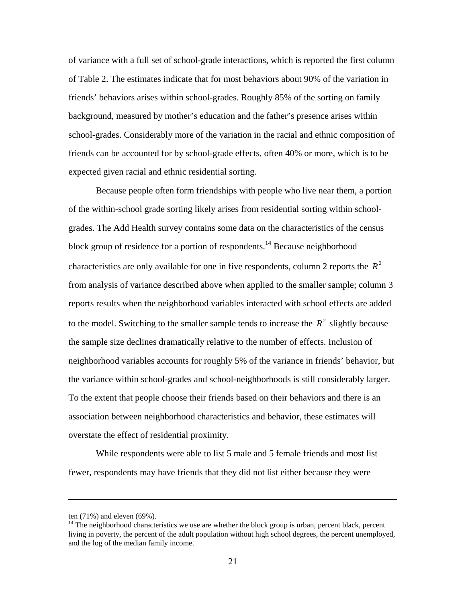of variance with a full set of school-grade interactions, which is reported the first column of Table 2. The estimates indicate that for most behaviors about 90% of the variation in friends' behaviors arises within school-grades. Roughly 85% of the sorting on family background, measured by mother's education and the father's presence arises within school-grades. Considerably more of the variation in the racial and ethnic composition of friends can be accounted for by school-grade effects, often 40% or more, which is to be expected given racial and ethnic residential sorting.

Because people often form friendships with people who live near them, a portion of the within-school grade sorting likely arises from residential sorting within schoolgrades. The Add Health survey contains some data on the characteristics of the census block group of residence for a portion of respondents.<sup>14</sup> Because neighborhood characteristics are only available for one in five respondents, column 2 reports the  $R^2$ from analysis of variance described above when applied to the smaller sample; column 3 reports results when the neighborhood variables interacted with school effects are added to the model. Switching to the smaller sample tends to increase the  $R^2$  slightly because the sample size declines dramatically relative to the number of effects. Inclusion of neighborhood variables accounts for roughly 5% of the variance in friends' behavior, but the variance within school-grades and school-neighborhoods is still considerably larger. To the extent that people choose their friends based on their behaviors and there is an association between neighborhood characteristics and behavior, these estimates will overstate the effect of residential proximity.

While respondents were able to list 5 male and 5 female friends and most list fewer, respondents may have friends that they did not list either because they were

 $\overline{a}$ 

ten (71%) and eleven (69%).

 $14$  The neighborhood characteristics we use are whether the block group is urban, percent black, percent living in poverty, the percent of the adult population without high school degrees, the percent unemployed, and the log of the median family income.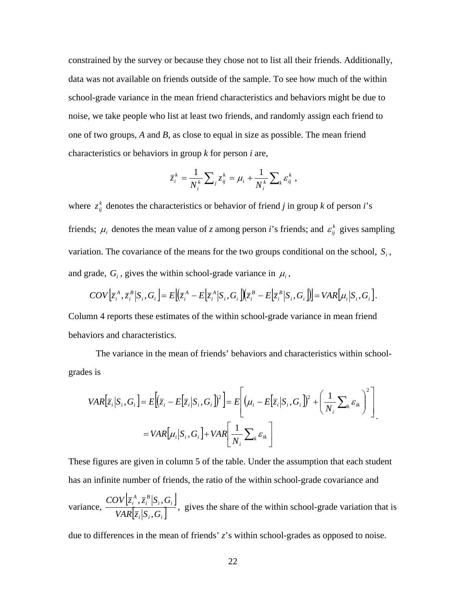constrained by the survey or because they chose not to list all their friends. Additionally, data was not available on friends outside of the sample. To see how much of the within school-grade variance in the mean friend characteristics and behaviors might be due to noise, we take people who list at least two friends, and randomly assign each friend to one of two groups, *A* and *B*, as close to equal in size as possible. The mean friend characteristics or behaviors in group *k* for person *i* are,

$$
\overline{z}_i^k = \frac{1}{N_i^k} \sum_j z_{ij}^k = \mu_i + \frac{1}{N_i^k} \sum_k \varepsilon_{ij}^k,
$$

where  $z_{ij}^k$  denotes the characteristics or behavior of friend *j* in group *k* of person *i*'s friends;  $\mu_i$  denotes the mean value of *z* among person *i*'s friends; and  $\varepsilon_{ij}^k$  gives sampling variation. The covariance of the means for the two groups conditional on the school,  $S_i$ , and grade,  $G_i$ , gives the within school-grade variance in  $\mu_i$ ,

$$
COV\big[\overline{z}_{i}^{A}, \overline{z}_{i}^{B}\big|S_{i}, G_{i}\big]=E\big[\big(\overline{z}_{i}^{A}-E\big[\overline{z}_{i}^{A}\big|S_{i}, G_{i}\big]\big)\big(\overline{z}_{i}^{B}-E\big[\overline{z}_{i}^{B}\big|S_{i}, G_{i}\big]\big)\big]=VAR\big[\mu_{i}\big|S_{i}, G_{i}\big].
$$

Column 4 reports these estimates of the within school-grade variance in mean friend behaviors and characteristics.

The variance in the mean of friends' behaviors and characteristics within schoolgrades is

$$
VAR[\overline{z}_{i}|S_{i}, G_{i}] = E[(\overline{z}_{i} - E[\overline{z}_{i}|S_{i}, G_{i}])^{2}] = E[(\mu_{i} - E[\overline{z}_{i}|S_{i}, G_{i}])^{2} + (\frac{1}{N_{i}} \sum_{k} \varepsilon_{ik})^{2}]
$$
  
=  $VAR[\mu_{i}|S_{i}, G_{i}] + VAR[\frac{1}{N_{i}} \sum_{k} \varepsilon_{ik}]$ 

These figures are given in column 5 of the table. Under the assumption that each student has an infinite number of friends, the ratio of the within school-grade covariance and

variance,  $\frac{COV[\bar{z}_i^A, \bar{z}_i^B|S_i, G_i]}{\sigma_{\text{rel}}[S_i, S_i]}$  $\left[ \bar{z}_i | S_i, G_i \right]$  $i, \mathbf{v}_i$ *B i A i*  $VAR \left| \overline{z}_i \right| S_i$ , G  $COV | \bar{z}_i^A, \bar{z}_i^B | S_i, G$ ,  $\left(\frac{\overline{z}_{i}^{B} | S_{i}, G_{i}|}{\overline{z}_{i}^{B} | S_{i}, G_{i}|}\right)$ , gives the share of the within school-grade variation that is

due to differences in the mean of friends' *z*'s within school-grades as opposed to noise.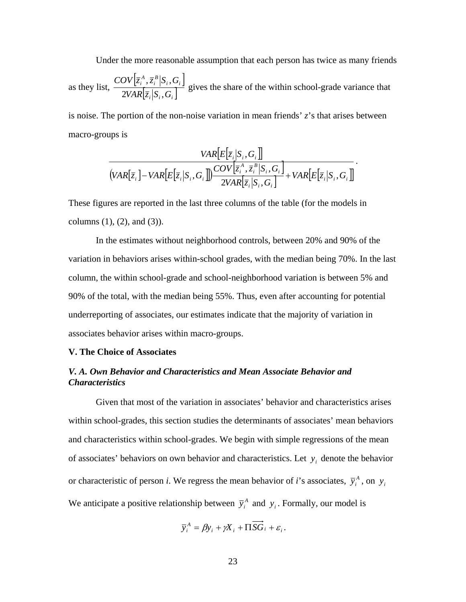Under the more reasonable assumption that each person has twice as many friends

as they list,  $\frac{COV[\overline{z}_i^A, \overline{z}_i^B | S_i, G_i]}{\sim}$  $\left[ \bar{z}_{i} \middle| S_{i}, G_{i} \right]$  $i, \mathbf{v}_i$ *B i A i*  $VAR$   $\left|\overline{z}_i\right|$   $S_i$   $\ G$  $COV|\overline{z}_i^A,\overline{z}_i^B|S_i,G$  $2VAR|\overline{z}_i|S_i,$  $\left(\frac{\overline{z}_{i}^{B} | S_{i}, G_{i} \right)}{\overline{z}_{i}^{B} | S_{i} \right)}$  gives the share of the within school-grade variance that

is noise. The portion of the non-noise variation in mean friends' *z*'s that arises between macro-groups is

$$
\frac{VAR[E[\overline{z}_{i}|S_{i},G_{i}]]}{(VAR[\overline{z}_{i}]-VAR[E[\overline{z}_{i}|S_{i},G_{i}]]\frac{COV[\overline{z}_{i}^{A},\overline{z}_{i}^{B}|S_{i},G_{i}]}{2VAR[\overline{z}_{i}|S_{i},G_{i}]}+VAR[E[\overline{z}_{i}|S_{i},G_{i}]]}.
$$

These figures are reported in the last three columns of the table (for the models in columns  $(1)$ ,  $(2)$ , and  $(3)$ ).

In the estimates without neighborhood controls, between 20% and 90% of the variation in behaviors arises within-school grades, with the median being 70%. In the last column, the within school-grade and school-neighborhood variation is between 5% and 90% of the total, with the median being 55%. Thus, even after accounting for potential underreporting of associates, our estimates indicate that the majority of variation in associates behavior arises within macro-groups.

## **V. The Choice of Associates**

## *V. A. Own Behavior and Characteristics and Mean Associate Behavior and Characteristics*

Given that most of the variation in associates' behavior and characteristics arises within school-grades, this section studies the determinants of associates' mean behaviors and characteristics within school-grades. We begin with simple regressions of the mean of associates' behaviors on own behavior and characteristics. Let  $y_i$  denote the behavior or characteristic of person *i*. We regress the mean behavior of *i*'s associates,  $\bar{y}_i^A$ , on  $y_i$ We anticipate a positive relationship between  $\bar{y}_i^A$  and  $y_i$ . Formally, our model is

$$
\overline{y}_{i}^{A} = \beta y_{i} + \gamma X_{i} + \Pi \overline{SG}_{i} + \varepsilon_{i}.
$$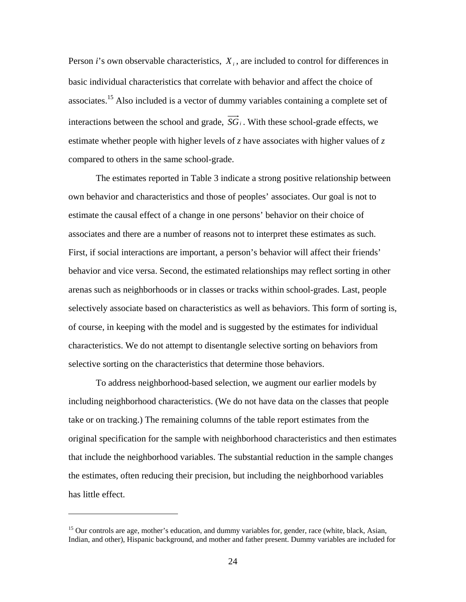Person *i*'s own observable characteristics,  $X_i$ , are included to control for differences in basic individual characteristics that correlate with behavior and affect the choice of associates.15 Also included is a vector of dummy variables containing a complete set of interactions between the school and grade,  $\overrightarrow{SG}_i$ . With these school-grade effects, we estimate whether people with higher levels of *z* have associates with higher values of *z* compared to others in the same school-grade.

The estimates reported in Table 3 indicate a strong positive relationship between own behavior and characteristics and those of peoples' associates. Our goal is not to estimate the causal effect of a change in one persons' behavior on their choice of associates and there are a number of reasons not to interpret these estimates as such. First, if social interactions are important, a person's behavior will affect their friends' behavior and vice versa. Second, the estimated relationships may reflect sorting in other arenas such as neighborhoods or in classes or tracks within school-grades. Last, people selectively associate based on characteristics as well as behaviors. This form of sorting is, of course, in keeping with the model and is suggested by the estimates for individual characteristics. We do not attempt to disentangle selective sorting on behaviors from selective sorting on the characteristics that determine those behaviors.

To address neighborhood-based selection, we augment our earlier models by including neighborhood characteristics. (We do not have data on the classes that people take or on tracking.) The remaining columns of the table report estimates from the original specification for the sample with neighborhood characteristics and then estimates that include the neighborhood variables. The substantial reduction in the sample changes the estimates, often reducing their precision, but including the neighborhood variables has little effect.

 $\overline{a}$ 

<sup>&</sup>lt;sup>15</sup> Our controls are age, mother's education, and dummy variables for, gender, race (white, black, Asian, Indian, and other), Hispanic background, and mother and father present. Dummy variables are included for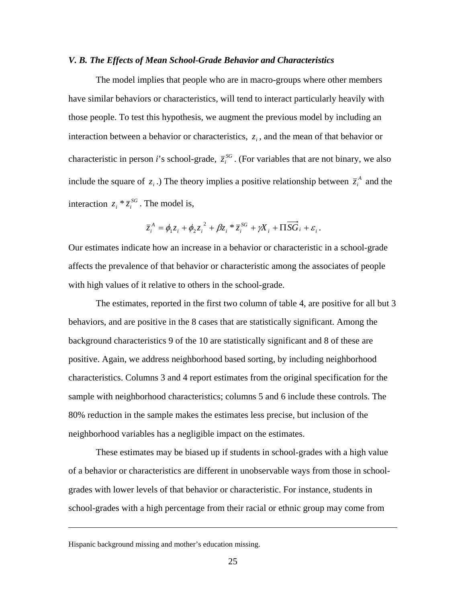#### *V. B. The Effects of Mean School-Grade Behavior and Characteristics*

The model implies that people who are in macro-groups where other members have similar behaviors or characteristics, will tend to interact particularly heavily with those people. To test this hypothesis, we augment the previous model by including an interaction between a behavior or characteristics,  $z_i$ , and the mean of that behavior or characteristic in person *i*'s school-grade,  $\bar{z}_i^{SG}$ . (For variables that are not binary, we also include the square of  $z_i$ .) The theory implies a positive relationship between  $\overline{z_i}^A$  and the interaction  $z_i * \overline{z_i}^{SG}$ . The model is,

$$
\overline{z}_i^A = \phi_1 z_i + \phi_2 z_i^2 + \beta z_i^* \overline{z}_i^{SG} + \gamma X_i + \Pi \overrightarrow{SG}_i + \varepsilon_i.
$$

Our estimates indicate how an increase in a behavior or characteristic in a school-grade affects the prevalence of that behavior or characteristic among the associates of people with high values of it relative to others in the school-grade.

The estimates, reported in the first two column of table 4, are positive for all but 3 behaviors, and are positive in the 8 cases that are statistically significant. Among the background characteristics 9 of the 10 are statistically significant and 8 of these are positive. Again, we address neighborhood based sorting, by including neighborhood characteristics. Columns 3 and 4 report estimates from the original specification for the sample with neighborhood characteristics; columns 5 and 6 include these controls. The 80% reduction in the sample makes the estimates less precise, but inclusion of the neighborhood variables has a negligible impact on the estimates.

These estimates may be biased up if students in school-grades with a high value of a behavior or characteristics are different in unobservable ways from those in schoolgrades with lower levels of that behavior or characteristic. For instance, students in school-grades with a high percentage from their racial or ethnic group may come from

Hispanic background missing and mother's education missing.

 $\overline{a}$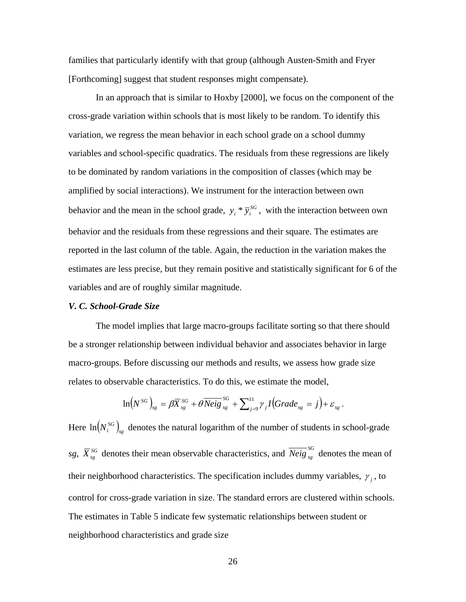families that particularly identify with that group (although Austen-Smith and Fryer [Forthcoming] suggest that student responses might compensate).

In an approach that is similar to Hoxby [2000], we focus on the component of the cross-grade variation within schools that is most likely to be random. To identify this variation, we regress the mean behavior in each school grade on a school dummy variables and school-specific quadratics. The residuals from these regressions are likely to be dominated by random variations in the composition of classes (which may be amplified by social interactions). We instrument for the interaction between own behavior and the mean in the school grade,  $y_i * \overline{y_i}^{SG}$ , with the interaction between own behavior and the residuals from these regressions and their square. The estimates are reported in the last column of the table. Again, the reduction in the variation makes the estimates are less precise, but they remain positive and statistically significant for 6 of the variables and are of roughly similar magnitude.

## *V. C. School-Grade Size*

The model implies that large macro-groups facilitate sorting so that there should be a stronger relationship between individual behavior and associates behavior in large macro-groups. Before discussing our methods and results, we assess how grade size relates to observable characteristics. To do this, we estimate the model,

$$
\ln\bigl(N^{SG}\bigr)_{sg} = \beta \overline{X}_{sg}^{SG} + \theta \overline{Neig}_{sg}^{SG} + \sum_{j=9}^{11} \gamma_j I\bigl( Grade_{sg} = j\bigr) + \varepsilon_{sg}.
$$

Here  $\ln(N_i^{SG})_{sg}$  denotes the natural logarithm of the number of students in school-grade *sg*,  $\overline{X}_{sg}^{SG}$  denotes their mean observable characteristics, and  $\overline{Neig}_{sg}^{SG}$  denotes the mean of their neighborhood characteristics. The specification includes dummy variables,  $\gamma_j$ , to control for cross-grade variation in size. The standard errors are clustered within schools. The estimates in Table 5 indicate few systematic relationships between student or neighborhood characteristics and grade size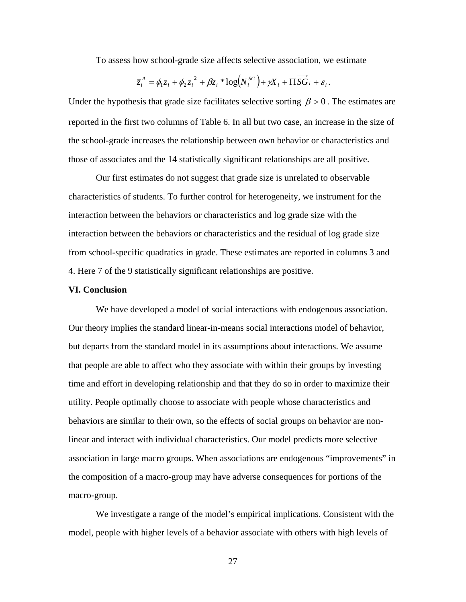To assess how school-grade size affects selective association, we estimate

$$
\overline{z}_{i}^{A} = \phi_{1}z_{i} + \phi_{2}z_{i}^{2} + \beta z_{i} * \log(N_{i}^{SG}) + \gamma X_{i} + \Pi \overrightarrow{SG}_{i} + \varepsilon_{i}.
$$

Under the hypothesis that grade size facilitates selective sorting  $\beta > 0$ . The estimates are reported in the first two columns of Table 6. In all but two case, an increase in the size of the school-grade increases the relationship between own behavior or characteristics and those of associates and the 14 statistically significant relationships are all positive.

Our first estimates do not suggest that grade size is unrelated to observable characteristics of students. To further control for heterogeneity, we instrument for the interaction between the behaviors or characteristics and log grade size with the interaction between the behaviors or characteristics and the residual of log grade size from school-specific quadratics in grade. These estimates are reported in columns 3 and 4. Here 7 of the 9 statistically significant relationships are positive.

## **VI. Conclusion**

We have developed a model of social interactions with endogenous association. Our theory implies the standard linear-in-means social interactions model of behavior, but departs from the standard model in its assumptions about interactions. We assume that people are able to affect who they associate with within their groups by investing time and effort in developing relationship and that they do so in order to maximize their utility. People optimally choose to associate with people whose characteristics and behaviors are similar to their own, so the effects of social groups on behavior are nonlinear and interact with individual characteristics. Our model predicts more selective association in large macro groups. When associations are endogenous "improvements" in the composition of a macro-group may have adverse consequences for portions of the macro-group.

We investigate a range of the model's empirical implications. Consistent with the model, people with higher levels of a behavior associate with others with high levels of

27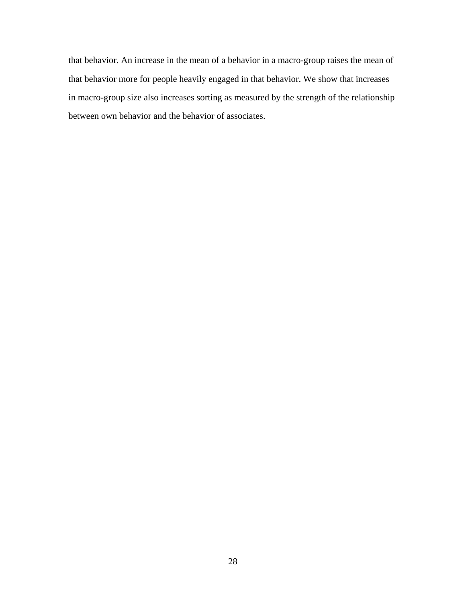that behavior. An increase in the mean of a behavior in a macro-group raises the mean of that behavior more for people heavily engaged in that behavior. We show that increases in macro-group size also increases sorting as measured by the strength of the relationship between own behavior and the behavior of associates.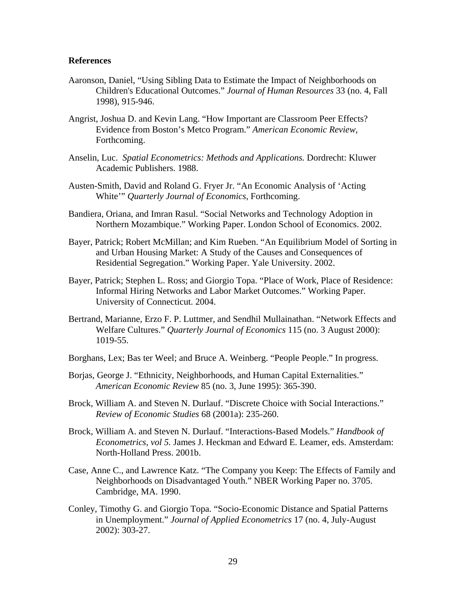## **References**

- Aaronson, Daniel, "Using Sibling Data to Estimate the Impact of Neighborhoods on Children's Educational Outcomes." *Journal of Human Resources* 33 (no. 4, Fall 1998), 915-946.
- Angrist, Joshua D. and Kevin Lang. "How Important are Classroom Peer Effects? Evidence from Boston's Metco Program." *American Economic Review*, Forthcoming.
- Anselin, Luc. *Spatial Econometrics: Methods and Applications.* Dordrecht: Kluwer Academic Publishers. 1988.
- Austen-Smith, David and Roland G. Fryer Jr. "An Economic Analysis of 'Acting White'" *Quarterly Journal of Economics*, Forthcoming.
- Bandiera, Oriana, and Imran Rasul. "Social Networks and Technology Adoption in Northern Mozambique." Working Paper. London School of Economics. 2002.
- Bayer, Patrick; Robert McMillan; and Kim Rueben. "An Equilibrium Model of Sorting in and Urban Housing Market: A Study of the Causes and Consequences of Residential Segregation." Working Paper. Yale University. 2002.
- Bayer, Patrick; Stephen L. Ross; and Giorgio Topa. "Place of Work, Place of Residence: Informal Hiring Networks and Labor Market Outcomes." Working Paper. University of Connecticut. 2004.
- Bertrand, Marianne, Erzo F. P. Luttmer, and Sendhil Mullainathan. "Network Effects and Welfare Cultures." *Quarterly Journal of Economics* 115 (no. 3 August 2000): 1019-55.
- Borghans, Lex; Bas ter Weel; and Bruce A. Weinberg. "People People." In progress.
- Borjas, George J. "Ethnicity, Neighborhoods, and Human Capital Externalities." *American Economic Review* 85 (no. 3, June 1995): 365-390.
- Brock, William A. and Steven N. Durlauf. "Discrete Choice with Social Interactions." *Review of Economic Studies* 68 (2001a): 235-260.
- Brock, William A. and Steven N. Durlauf. "Interactions-Based Models." *Handbook of Econometrics, vol 5.* James J. Heckman and Edward E. Leamer, eds. Amsterdam: North-Holland Press. 2001b.
- Case, Anne C., and Lawrence Katz. "The Company you Keep: The Effects of Family and Neighborhoods on Disadvantaged Youth." NBER Working Paper no. 3705. Cambridge, MA. 1990.
- Conley, Timothy G. and Giorgio Topa. "Socio-Economic Distance and Spatial Patterns in Unemployment." *Journal of Applied Econometrics* 17 (no. 4, July-August 2002): 303-27.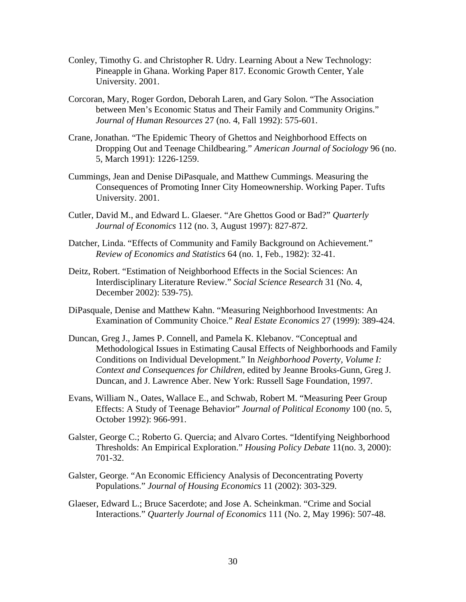- Conley, Timothy G. and Christopher R. Udry. Learning About a New Technology: Pineapple in Ghana. Working Paper 817. Economic Growth Center, Yale University. 2001.
- Corcoran, Mary, Roger Gordon, Deborah Laren, and Gary Solon. "The Association between Men's Economic Status and Their Family and Community Origins." *Journal of Human Resources* 27 (no. 4, Fall 1992): 575-601.
- Crane, Jonathan. "The Epidemic Theory of Ghettos and Neighborhood Effects on Dropping Out and Teenage Childbearing." *American Journal of Sociology* 96 (no. 5, March 1991): 1226-1259.
- Cummings, Jean and Denise DiPasquale, and Matthew Cummings. Measuring the Consequences of Promoting Inner City Homeownership. Working Paper. Tufts University. 2001.
- Cutler, David M., and Edward L. Glaeser. "Are Ghettos Good or Bad?" *Quarterly Journal of Economics* 112 (no. 3, August 1997): 827-872.
- Datcher, Linda. "Effects of Community and Family Background on Achievement." *Review of Economics and Statistics* 64 (no. 1, Feb., 1982): 32-41.
- Deitz, Robert. "Estimation of Neighborhood Effects in the Social Sciences: An Interdisciplinary Literature Review." *Social Science Research* 31 (No. 4, December 2002): 539-75).
- DiPasquale, Denise and Matthew Kahn. "Measuring Neighborhood Investments: An Examination of Community Choice." *Real Estate Economics* 27 (1999): 389-424.
- Duncan, Greg J., James P. Connell, and Pamela K. Klebanov. "Conceptual and Methodological Issues in Estimating Causal Effects of Neighborhoods and Family Conditions on Individual Development." In *Neighborhood Poverty, Volume I: Context and Consequences for Children,* edited by Jeanne Brooks-Gunn, Greg J. Duncan, and J. Lawrence Aber. New York: Russell Sage Foundation, 1997.
- Evans, William N., Oates, Wallace E., and Schwab, Robert M. "Measuring Peer Group Effects: A Study of Teenage Behavior" *Journal of Political Economy* 100 (no. 5, October 1992): 966-991.
- Galster, George C.; Roberto G. Quercia; and Alvaro Cortes. "Identifying Neighborhood Thresholds: An Empirical Exploration." *Housing Policy Debate* 11(no. 3, 2000): 701-32.
- Galster, George. "An Economic Efficiency Analysis of Deconcentrating Poverty Populations." *Journal of Housing Economics* 11 (2002): 303-329.
- Glaeser, Edward L.; Bruce Sacerdote; and Jose A. Scheinkman. "Crime and Social Interactions." *Quarterly Journal of Economics* 111 (No. 2, May 1996): 507-48.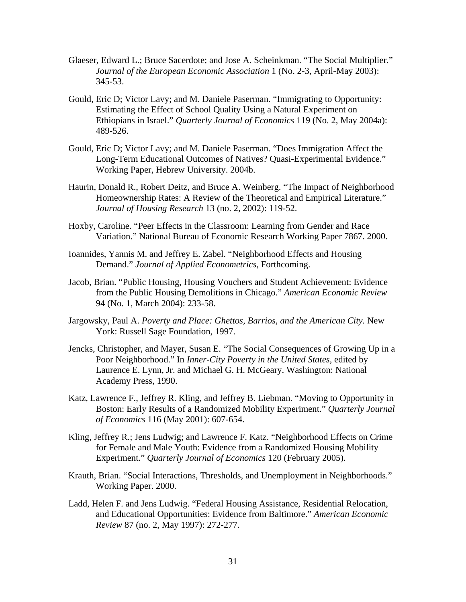- Glaeser, Edward L.; Bruce Sacerdote; and Jose A. Scheinkman. "The Social Multiplier." *Journal of the European Economic Association* 1 (No. 2-3, April-May 2003): 345-53.
- Gould, Eric D; Victor Lavy; and M. Daniele Paserman. "Immigrating to Opportunity: Estimating the Effect of School Quality Using a Natural Experiment on Ethiopians in Israel." *Quarterly Journal of Economics* 119 (No. 2, May 2004a): 489-526.
- Gould, Eric D; Victor Lavy; and M. Daniele Paserman. "Does Immigration Affect the Long-Term Educational Outcomes of Natives? Quasi-Experimental Evidence." Working Paper, Hebrew University. 2004b.
- Haurin, Donald R., Robert Deitz, and Bruce A. Weinberg. "The Impact of Neighborhood Homeownership Rates: A Review of the Theoretical and Empirical Literature." *Journal of Housing Research* 13 (no. 2, 2002): 119-52.
- Hoxby, Caroline. "Peer Effects in the Classroom: Learning from Gender and Race Variation." National Bureau of Economic Research Working Paper 7867. 2000.
- Ioannides, Yannis M. and Jeffrey E. Zabel. "Neighborhood Effects and Housing Demand." *Journal of Applied Econometrics*, Forthcoming.
- Jacob, Brian. "Public Housing, Housing Vouchers and Student Achievement: Evidence from the Public Housing Demolitions in Chicago." *American Economic Review* 94 (No. 1, March 2004): 233-58.
- Jargowsky, Paul A. *Poverty and Place: Ghettos, Barrios, and the American City.* New York: Russell Sage Foundation, 1997.
- Jencks, Christopher, and Mayer, Susan E. "The Social Consequences of Growing Up in a Poor Neighborhood." In *Inner-City Poverty in the United States*, edited by Laurence E. Lynn, Jr. and Michael G. H. McGeary. Washington: National Academy Press, 1990.
- Katz, Lawrence F., Jeffrey R. Kling, and Jeffrey B. Liebman. "Moving to Opportunity in Boston: Early Results of a Randomized Mobility Experiment." *Quarterly Journal of Economics* 116 (May 2001): 607-654.
- Kling, Jeffrey R.; Jens Ludwig; and Lawrence F. Katz. "Neighborhood Effects on Crime for Female and Male Youth: Evidence from a Randomized Housing Mobility Experiment." *Quarterly Journal of Economics* 120 (February 2005).
- Krauth, Brian. "Social Interactions, Thresholds, and Unemployment in Neighborhoods." Working Paper. 2000.
- Ladd, Helen F. and Jens Ludwig. "Federal Housing Assistance, Residential Relocation, and Educational Opportunities: Evidence from Baltimore." *American Economic Review* 87 (no. 2, May 1997): 272-277.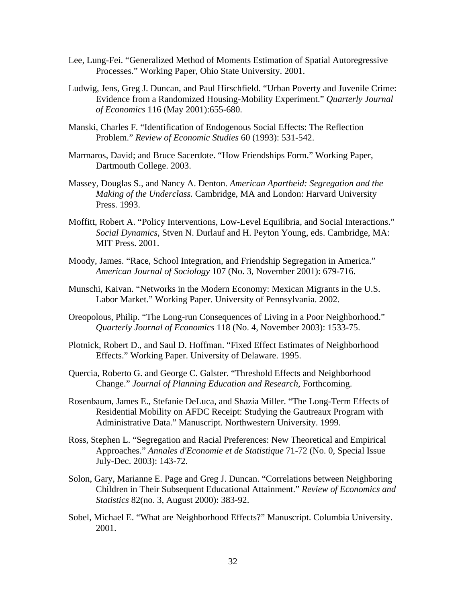- Lee, Lung-Fei. "Generalized Method of Moments Estimation of Spatial Autoregressive Processes." Working Paper, Ohio State University. 2001.
- Ludwig, Jens, Greg J. Duncan, and Paul Hirschfield. "Urban Poverty and Juvenile Crime: Evidence from a Randomized Housing-Mobility Experiment." *Quarterly Journal of Economics* 116 (May 2001):655-680.
- Manski, Charles F. "Identification of Endogenous Social Effects: The Reflection Problem." *Review of Economic Studies* 60 (1993): 531-542.
- Marmaros, David; and Bruce Sacerdote. "How Friendships Form." Working Paper, Dartmouth College. 2003.
- Massey, Douglas S., and Nancy A. Denton. *American Apartheid: Segregation and the Making of the Underclass.* Cambridge, MA and London: Harvard University Press. 1993.
- Moffitt, Robert A. "Policy Interventions, Low-Level Equilibria, and Social Interactions." *Social Dynamics*, Stven N. Durlauf and H. Peyton Young, eds. Cambridge, MA: MIT Press. 2001.
- Moody, James. "Race, School Integration, and Friendship Segregation in America." *American Journal of Sociology* 107 (No. 3, November 2001): 679-716.
- Munschi, Kaivan. "Networks in the Modern Economy: Mexican Migrants in the U.S. Labor Market." Working Paper. University of Pennsylvania. 2002.
- Oreopolous, Philip. "The Long-run Consequences of Living in a Poor Neighborhood." *Quarterly Journal of Economics* 118 (No. 4, November 2003): 1533-75.
- Plotnick, Robert D., and Saul D. Hoffman. "Fixed Effect Estimates of Neighborhood Effects." Working Paper. University of Delaware. 1995.
- Quercia, Roberto G. and George C. Galster. "Threshold Effects and Neighborhood Change." *Journal of Planning Education and Research*, Forthcoming.
- Rosenbaum, James E., Stefanie DeLuca, and Shazia Miller. "The Long-Term Effects of Residential Mobility on AFDC Receipt: Studying the Gautreaux Program with Administrative Data." Manuscript. Northwestern University. 1999.
- Ross, Stephen L. "Segregation and Racial Preferences: New Theoretical and Empirical Approaches." *Annales d'Economie et de Statistique* 71-72 (No. 0, Special Issue July-Dec. 2003): 143-72.
- Solon, Gary, Marianne E. Page and Greg J. Duncan. "Correlations between Neighboring Children in Their Subsequent Educational Attainment." *Review of Economics and Statistics* 82(no. 3, August 2000): 383-92.
- Sobel, Michael E. "What are Neighborhood Effects?" Manuscript. Columbia University. 2001.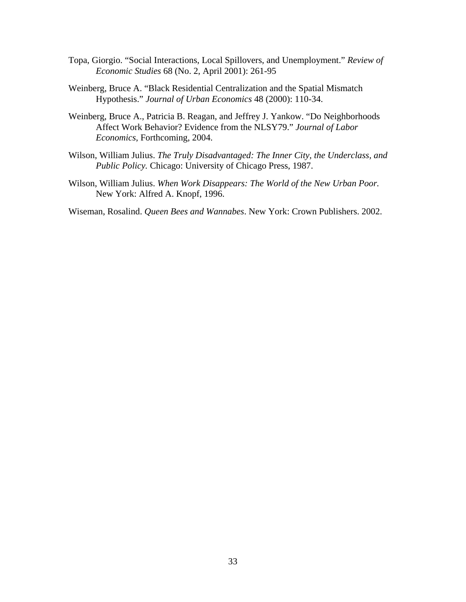- Topa, Giorgio. "Social Interactions, Local Spillovers, and Unemployment." *Review of Economic Studies* 68 (No. 2, April 2001): 261-95
- Weinberg, Bruce A. "Black Residential Centralization and the Spatial Mismatch Hypothesis." *Journal of Urban Economics* 48 (2000): 110-34.
- Weinberg, Bruce A., Patricia B. Reagan, and Jeffrey J. Yankow. "Do Neighborhoods Affect Work Behavior? Evidence from the NLSY79." *Journal of Labor Economics*, Forthcoming, 2004.
- Wilson, William Julius. *The Truly Disadvantaged: The Inner City, the Underclass, and Public Policy.* Chicago: University of Chicago Press, 1987.
- Wilson, William Julius. *When Work Disappears: The World of the New Urban Poor.* New York: Alfred A. Knopf, 1996.

Wiseman, Rosalind. *Queen Bees and Wannabes*. New York: Crown Publishers. 2002.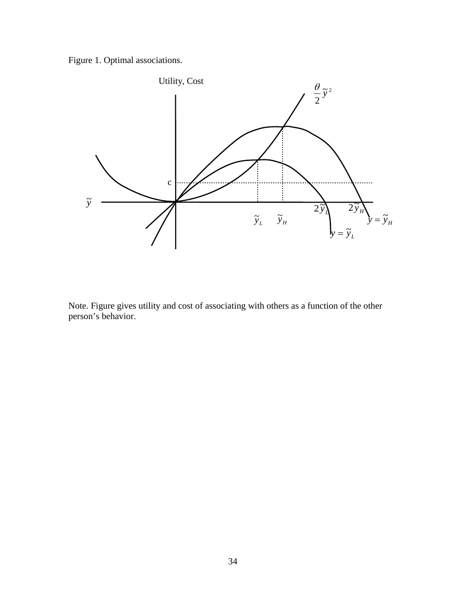Figure 1. Optimal associations.



Note. Figure gives utility and cost of associating with others as a function of the other person's behavior.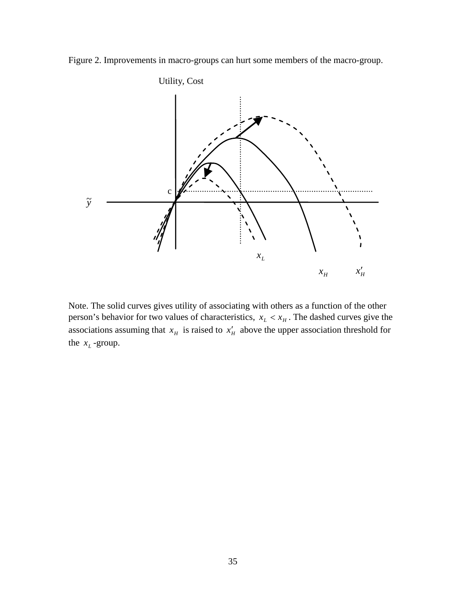



Note. The solid curves gives utility of associating with others as a function of the other person's behavior for two values of characteristics,  $x_L < x_H$ . The dashed curves give the associations assuming that  $x_H$  is raised to  $x'_H$  above the upper association threshold for the  $x_L$ -group.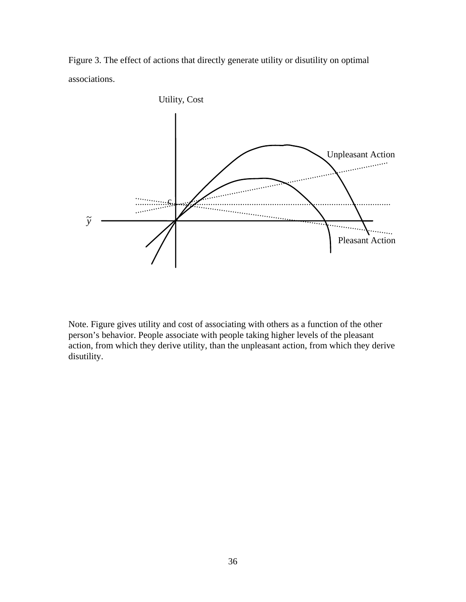Figure 3. The effect of actions that directly generate utility or disutility on optimal associations.



Note. Figure gives utility and cost of associating with others as a function of the other person's behavior. People associate with people taking higher levels of the pleasant action, from which they derive utility, than the unpleasant action, from which they derive disutility.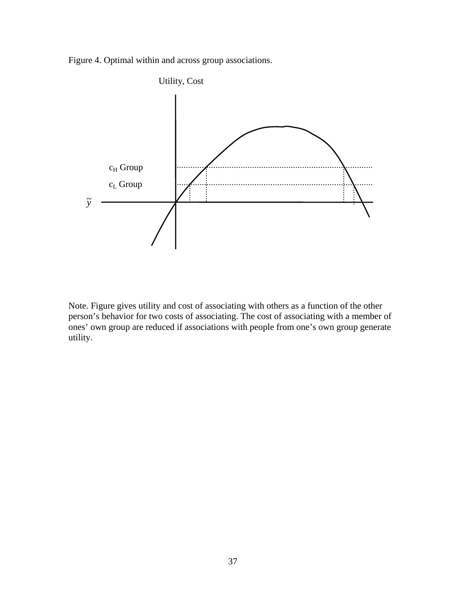Figure 4. Optimal within and across group associations.



Note. Figure gives utility and cost of associating with others as a function of the other person's behavior for two costs of associating. The cost of associating with a member of ones' own group are reduced if associations with people from one's own group generate utility.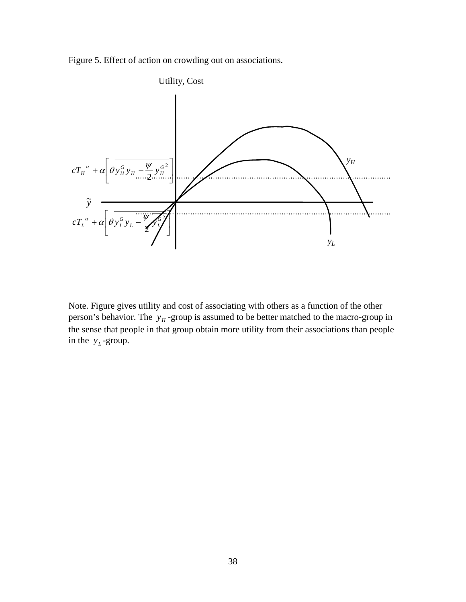Figure 5. Effect of action on crowding out on associations.



Note. Figure gives utility and cost of associating with others as a function of the other person's behavior. The  $y_H$ -group is assumed to be better matched to the macro-group in the sense that people in that group obtain more utility from their associations than people in the  $y_L$ -group.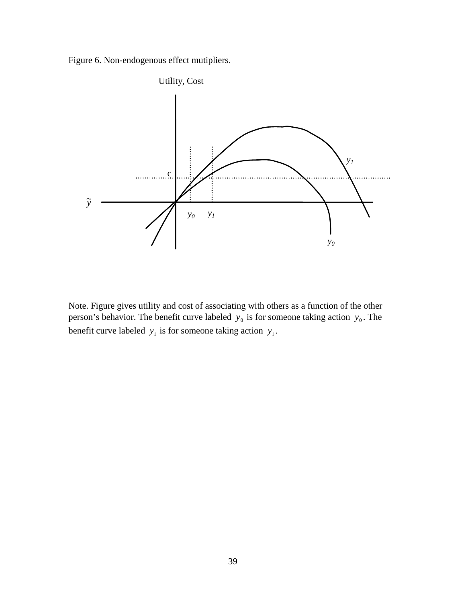Figure 6. Non-endogenous effect mutipliers.



Note. Figure gives utility and cost of associating with others as a function of the other person's behavior. The benefit curve labeled  $y_0$  is for someone taking action  $y_0$ . The benefit curve labeled  $y_1$  is for someone taking action  $y_1$ .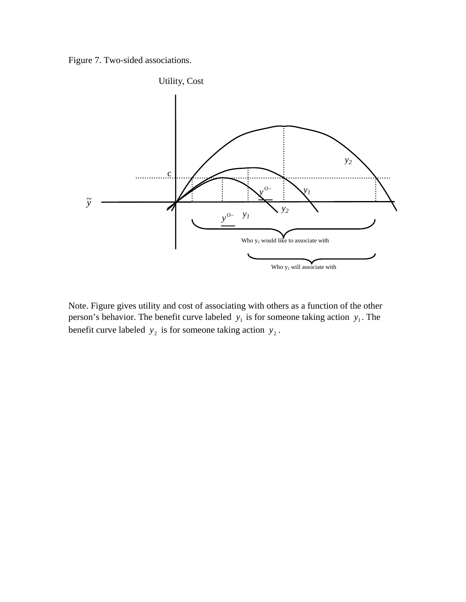Figure 7. Two-sided associations.



Note. Figure gives utility and cost of associating with others as a function of the other person's behavior. The benefit curve labeled  $y_1$  is for someone taking action  $y_1$ . The benefit curve labeled  $y_2$  is for someone taking action  $y_2$ .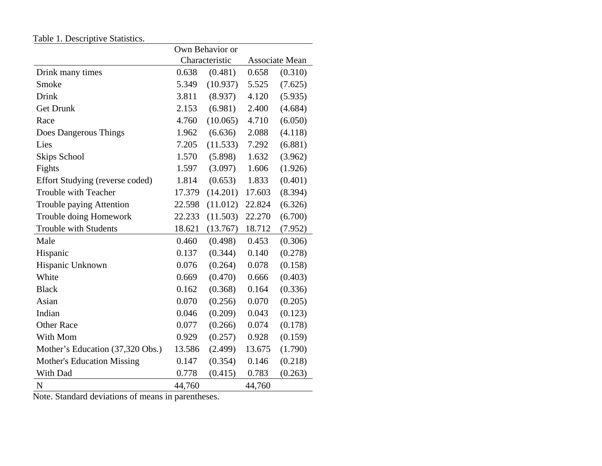|                                   | Own Behavior or |                |                |         |  |
|-----------------------------------|-----------------|----------------|----------------|---------|--|
|                                   |                 | Characteristic | Associate Mean |         |  |
| Drink many times                  | 0.638           | (0.481)        | 0.658          | (0.310) |  |
| Smoke                             | 5.349           | (10.937)       | 5.525          | (7.625) |  |
| Drink                             | 3.811           | (8.937)        | 4.120          | (5.935) |  |
| <b>Get Drunk</b>                  | 2.153           | (6.981)        | 2.400          | (4.684) |  |
| Race                              | 4.760           | (10.065)       | 4.710          | (6.050) |  |
| Does Dangerous Things             | 1.962           | (6.636)        | 2.088          | (4.118) |  |
| Lies                              | 7.205           | (11.533)       | 7.292          | (6.881) |  |
| Skips School                      | 1.570           | (5.898)        | 1.632          | (3.962) |  |
| Fights                            | 1.597           | (3.097)        | 1.606          | (1.926) |  |
| Effort Studying (reverse coded)   | 1.814           | (0.653)        | 1.833          | (0.401) |  |
| Trouble with Teacher              | 17.379          | (14.201)       | 17.603         | (8.394) |  |
| <b>Trouble paying Attention</b>   | 22.598          | (11.012)       | 22.824         | (6.326) |  |
| Trouble doing Homework            | 22.233          | (11.503)       | 22.270         | (6.700) |  |
| Trouble with Students             | 18.621          | (13.767)       | 18.712         | (7.952) |  |
| Male                              | 0.460           | (0.498)        | 0.453          | (0.306) |  |
| Hispanic                          | 0.137           | (0.344)        | 0.140          | (0.278) |  |
| Hispanic Unknown                  | 0.076           | (0.264)        | 0.078          | (0.158) |  |
| White                             | 0.669           | (0.470)        | 0.666          | (0.403) |  |
| <b>Black</b>                      | 0.162           | (0.368)        | 0.164          | (0.336) |  |
| Asian                             | 0.070           | (0.256)        | 0.070          | (0.205) |  |
| Indian                            | 0.046           | (0.209)        | 0.043          | (0.123) |  |
| <b>Other Race</b>                 | 0.077           | (0.266)        | 0.074          | (0.178) |  |
| With Mom                          | 0.929           | (0.257)        | 0.928          | (0.159) |  |
| Mother's Education (37,320 Obs.)  | 13.586          | (2.499)        | 13.675         | (1.790) |  |
| <b>Mother's Education Missing</b> | 0.147           | (0.354)        | 0.146          | (0.218) |  |
| With Dad                          | 0.778           | (0.415)        | 0.783          | (0.263) |  |
| $\mathbf N$                       | 44,760          |                | 44,760         |         |  |

Note. Standard deviations of means in parentheses.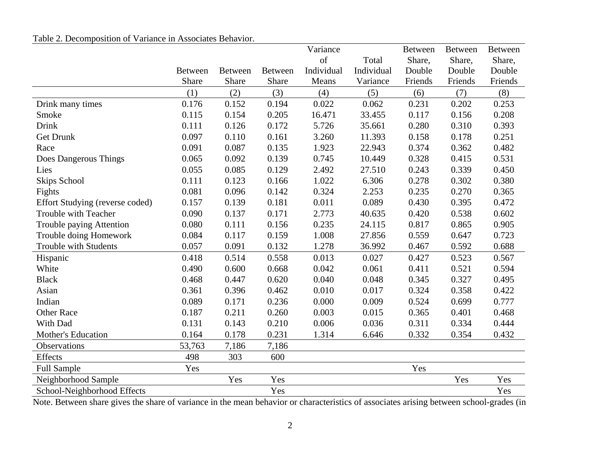# Table 2. Decomposition of Variance in Associates Behavior.

|                                 |         |                |                | Variance   |            | <b>Between</b> | <b>Between</b> | <b>Between</b> |
|---------------------------------|---------|----------------|----------------|------------|------------|----------------|----------------|----------------|
|                                 |         |                |                | of         | Total      | Share,         | Share,         | Share,         |
|                                 | Between | <b>Between</b> | <b>Between</b> | Individual | Individual | Double         | Double         | Double         |
|                                 | Share   | Share          | Share          | Means      | Variance   | Friends        | Friends        | Friends        |
|                                 | (1)     | (2)            | (3)            | (4)        | (5)        | (6)            | (7)            | (8)            |
| Drink many times                | 0.176   | 0.152          | 0.194          | 0.022      | 0.062      | 0.231          | 0.202          | 0.253          |
| Smoke                           | 0.115   | 0.154          | 0.205          | 16.471     | 33.455     | 0.117          | 0.156          | 0.208          |
| <b>Drink</b>                    | 0.111   | 0.126          | 0.172          | 5.726      | 35.661     | 0.280          | 0.310          | 0.393          |
| <b>Get Drunk</b>                | 0.097   | 0.110          | 0.161          | 3.260      | 11.393     | 0.158          | 0.178          | 0.251          |
| Race                            | 0.091   | 0.087          | 0.135          | 1.923      | 22.943     | 0.374          | 0.362          | 0.482          |
| Does Dangerous Things           | 0.065   | 0.092          | 0.139          | 0.745      | 10.449     | 0.328          | 0.415          | 0.531          |
| Lies                            | 0.055   | 0.085          | 0.129          | 2.492      | 27.510     | 0.243          | 0.339          | 0.450          |
| Skips School                    | 0.111   | 0.123          | 0.166          | 1.022      | 6.306      | 0.278          | 0.302          | 0.380          |
| Fights                          | 0.081   | 0.096          | 0.142          | 0.324      | 2.253      | 0.235          | 0.270          | 0.365          |
| Effort Studying (reverse coded) | 0.157   | 0.139          | 0.181          | 0.011      | 0.089      | 0.430          | 0.395          | 0.472          |
| Trouble with Teacher            | 0.090   | 0.137          | 0.171          | 2.773      | 40.635     | 0.420          | 0.538          | 0.602          |
| Trouble paying Attention        | 0.080   | 0.111          | 0.156          | 0.235      | 24.115     | 0.817          | 0.865          | 0.905          |
| Trouble doing Homework          | 0.084   | 0.117          | 0.159          | 1.008      | 27.856     | 0.559          | 0.647          | 0.723          |
| <b>Trouble with Students</b>    | 0.057   | 0.091          | 0.132          | 1.278      | 36.992     | 0.467          | 0.592          | 0.688          |
| Hispanic                        | 0.418   | 0.514          | 0.558          | 0.013      | 0.027      | 0.427          | 0.523          | 0.567          |
| White                           | 0.490   | 0.600          | 0.668          | 0.042      | 0.061      | 0.411          | 0.521          | 0.594          |
| <b>Black</b>                    | 0.468   | 0.447          | 0.620          | 0.040      | 0.048      | 0.345          | 0.327          | 0.495          |
| Asian                           | 0.361   | 0.396          | 0.462          | 0.010      | 0.017      | 0.324          | 0.358          | 0.422          |
| Indian                          | 0.089   | 0.171          | 0.236          | 0.000      | 0.009      | 0.524          | 0.699          | 0.777          |
| <b>Other Race</b>               | 0.187   | 0.211          | 0.260          | 0.003      | 0.015      | 0.365          | 0.401          | 0.468          |
| With Dad                        | 0.131   | 0.143          | 0.210          | 0.006      | 0.036      | 0.311          | 0.334          | 0.444          |
| Mother's Education              | 0.164   | 0.178          | 0.231          | 1.314      | 6.646      | 0.332          | 0.354          | 0.432          |
| Observations                    | 53,763  | 7,186          | 7,186          |            |            |                |                |                |
| Effects                         | 498     | 303            | 600            |            |            |                |                |                |
| <b>Full Sample</b>              | Yes     |                |                |            |            | Yes            |                |                |
| Neighborhood Sample             |         | Yes            | Yes            |            |            |                | Yes            | Yes            |
| School-Neighborhood Effects     |         |                | Yes            |            |            |                |                | Yes            |

Note. Between share gives the share of variance in the mean behavior or characteristics of associates arising between school-grades (in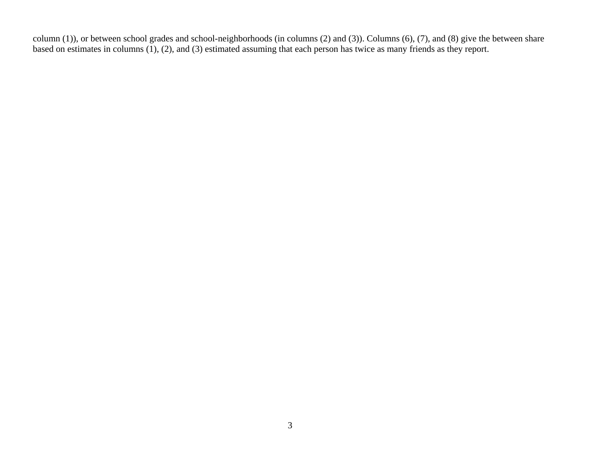column (1)), or between school grades and school-neighborhoods (in columns (2) and (3)). Columns (6), (7), and (8) give the between share based on estimates in columns (1), (2), and (3) estimated assuming that each person has twice as many friends as they report.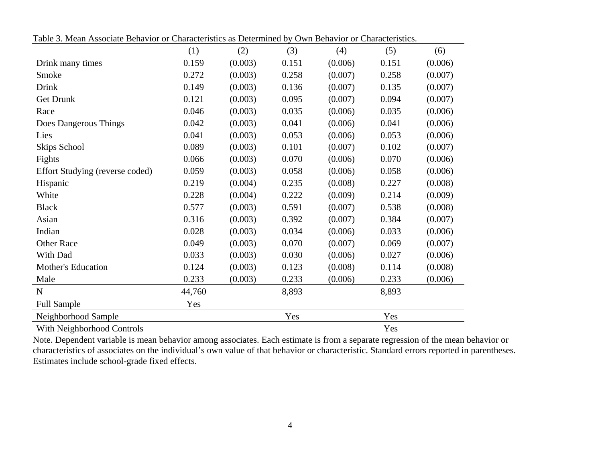|                                 | (1)    | (2)     | (3)   | (4)     | (5)   | (6)     |
|---------------------------------|--------|---------|-------|---------|-------|---------|
| Drink many times                | 0.159  | (0.003) | 0.151 | (0.006) | 0.151 | (0.006) |
| Smoke                           | 0.272  | (0.003) | 0.258 | (0.007) | 0.258 | (0.007) |
| <b>Drink</b>                    | 0.149  | (0.003) | 0.136 | (0.007) | 0.135 | (0.007) |
| <b>Get Drunk</b>                | 0.121  | (0.003) | 0.095 | (0.007) | 0.094 | (0.007) |
| Race                            | 0.046  | (0.003) | 0.035 | (0.006) | 0.035 | (0.006) |
| Does Dangerous Things           | 0.042  | (0.003) | 0.041 | (0.006) | 0.041 | (0.006) |
| Lies                            | 0.041  | (0.003) | 0.053 | (0.006) | 0.053 | (0.006) |
| Skips School                    | 0.089  | (0.003) | 0.101 | (0.007) | 0.102 | (0.007) |
| Fights                          | 0.066  | (0.003) | 0.070 | (0.006) | 0.070 | (0.006) |
| Effort Studying (reverse coded) | 0.059  | (0.003) | 0.058 | (0.006) | 0.058 | (0.006) |
| Hispanic                        | 0.219  | (0.004) | 0.235 | (0.008) | 0.227 | (0.008) |
| White                           | 0.228  | (0.004) | 0.222 | (0.009) | 0.214 | (0.009) |
| <b>Black</b>                    | 0.577  | (0.003) | 0.591 | (0.007) | 0.538 | (0.008) |
| Asian                           | 0.316  | (0.003) | 0.392 | (0.007) | 0.384 | (0.007) |
| Indian                          | 0.028  | (0.003) | 0.034 | (0.006) | 0.033 | (0.006) |
| <b>Other Race</b>               | 0.049  | (0.003) | 0.070 | (0.007) | 0.069 | (0.007) |
| With Dad                        | 0.033  | (0.003) | 0.030 | (0.006) | 0.027 | (0.006) |
| <b>Mother's Education</b>       | 0.124  | (0.003) | 0.123 | (0.008) | 0.114 | (0.008) |
| Male                            | 0.233  | (0.003) | 0.233 | (0.006) | 0.233 | (0.006) |
| $\mathbf N$                     | 44,760 |         | 8,893 |         | 8,893 |         |
| <b>Full Sample</b>              | Yes    |         |       |         |       |         |
| Neighborhood Sample             |        |         | Yes   |         | Yes   |         |
| With Neighborhood Controls      |        |         |       |         | Yes   |         |

Table 3. Mean Associate Behavior or Characteristics as Determined by Own Behavior or Characteristics.

Note. Dependent variable is mean behavior among associates. Each estimate is from a separate regression of the mean behavior or characteristics of associates on the individual's own value of that behavior or characteristic. Standard errors reported in parentheses. Estimates include school-grade fixed effects.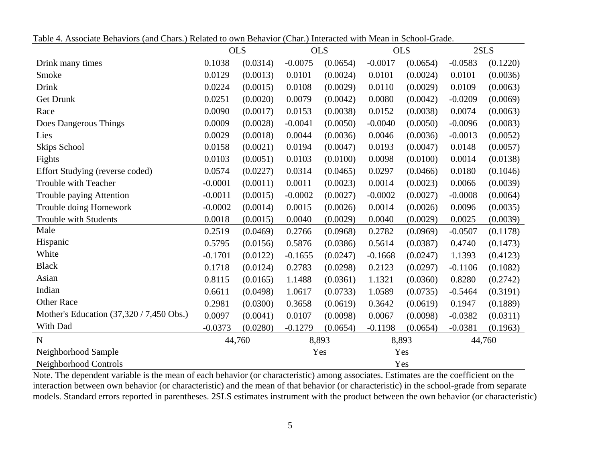| Table 4. Associate Behaviors (and Chars.) Related to own Behavior (Char.) Interacted with Mean in School-Grade. |  |
|-----------------------------------------------------------------------------------------------------------------|--|
|-----------------------------------------------------------------------------------------------------------------|--|

|                                          |           | <b>OLS</b> |           | <b>OLS</b> |           | <b>OLS</b> |           | 2SLS     |
|------------------------------------------|-----------|------------|-----------|------------|-----------|------------|-----------|----------|
| Drink many times                         | 0.1038    | (0.0314)   | $-0.0075$ | (0.0654)   | $-0.0017$ | (0.0654)   | $-0.0583$ | (0.1220) |
| Smoke                                    | 0.0129    | (0.0013)   | 0.0101    | (0.0024)   | 0.0101    | (0.0024)   | 0.0101    | (0.0036) |
| Drink                                    | 0.0224    | (0.0015)   | 0.0108    | (0.0029)   | 0.0110    | (0.0029)   | 0.0109    | (0.0063) |
| <b>Get Drunk</b>                         | 0.0251    | (0.0020)   | 0.0079    | (0.0042)   | 0.0080    | (0.0042)   | $-0.0209$ | (0.0069) |
| Race                                     | 0.0090    | (0.0017)   | 0.0153    | (0.0038)   | 0.0152    | (0.0038)   | 0.0074    | (0.0063) |
| Does Dangerous Things                    | 0.0009    | (0.0028)   | $-0.0041$ | (0.0050)   | $-0.0040$ | (0.0050)   | $-0.0096$ | (0.0083) |
| Lies                                     | 0.0029    | (0.0018)   | 0.0044    | (0.0036)   | 0.0046    | (0.0036)   | $-0.0013$ | (0.0052) |
| <b>Skips School</b>                      | 0.0158    | (0.0021)   | 0.0194    | (0.0047)   | 0.0193    | (0.0047)   | 0.0148    | (0.0057) |
| Fights                                   | 0.0103    | (0.0051)   | 0.0103    | (0.0100)   | 0.0098    | (0.0100)   | 0.0014    | (0.0138) |
| Effort Studying (reverse coded)          | 0.0574    | (0.0227)   | 0.0314    | (0.0465)   | 0.0297    | (0.0466)   | 0.0180    | (0.1046) |
| Trouble with Teacher                     | $-0.0001$ | (0.0011)   | 0.0011    | (0.0023)   | 0.0014    | (0.0023)   | 0.0066    | (0.0039) |
| Trouble paying Attention                 | $-0.0011$ | (0.0015)   | $-0.0002$ | (0.0027)   | $-0.0002$ | (0.0027)   | $-0.0008$ | (0.0064) |
| Trouble doing Homework                   | $-0.0002$ | (0.0014)   | 0.0015    | (0.0026)   | 0.0014    | (0.0026)   | 0.0096    | (0.0035) |
| Trouble with Students                    | 0.0018    | (0.0015)   | 0.0040    | (0.0029)   | 0.0040    | (0.0029)   | 0.0025    | (0.0039) |
| Male                                     | 0.2519    | (0.0469)   | 0.2766    | (0.0968)   | 0.2782    | (0.0969)   | $-0.0507$ | (0.1178) |
| Hispanic                                 | 0.5795    | (0.0156)   | 0.5876    | (0.0386)   | 0.5614    | (0.0387)   | 0.4740    | (0.1473) |
| White                                    | $-0.1701$ | (0.0122)   | $-0.1655$ | (0.0247)   | $-0.1668$ | (0.0247)   | 1.1393    | (0.4123) |
| <b>Black</b>                             | 0.1718    | (0.0124)   | 0.2783    | (0.0298)   | 0.2123    | (0.0297)   | $-0.1106$ | (0.1082) |
| Asian                                    | 0.8115    | (0.0165)   | 1.1488    | (0.0361)   | 1.1321    | (0.0360)   | 0.8280    | (0.2742) |
| Indian                                   | 0.6611    | (0.0498)   | 1.0617    | (0.0733)   | 1.0589    | (0.0735)   | $-0.5464$ | (0.3191) |
| <b>Other Race</b>                        | 0.2981    | (0.0300)   | 0.3658    | (0.0619)   | 0.3642    | (0.0619)   | 0.1947    | (0.1889) |
| Mother's Education (37,320 / 7,450 Obs.) | 0.0097    | (0.0041)   | 0.0107    | (0.0098)   | 0.0067    | (0.0098)   | $-0.0382$ | (0.0311) |
| With Dad                                 | $-0.0373$ | (0.0280)   | $-0.1279$ | (0.0654)   | $-0.1198$ | (0.0654)   | $-0.0381$ | (0.1963) |
| N                                        |           | 44,760     |           | 8,893      |           | 8,893      |           | 44,760   |
| Neighborhood Sample                      |           |            |           | Yes        |           | Yes        |           |          |
| Neighborhood Controls                    |           |            |           |            |           | Yes        |           |          |

Note. The dependent variable is the mean of each behavior (or characteristic) among associates. Estimates are the coefficient on the interaction between own behavior (or characteristic) and the mean of that behavior (or characteristic) in the school-grade from separate models. Standard errors reported in parentheses. 2SLS estimates instrument with the product between the own behavior (or characteristic)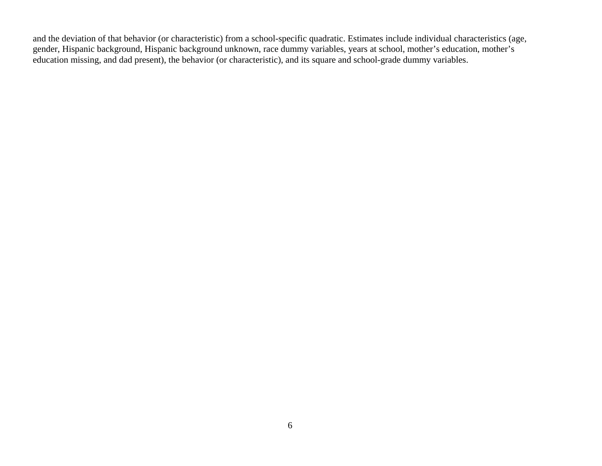and the deviation of that behavior (or characteristic) from a school-specific quadratic. Estimates include individual characteristics (age, gender, Hispanic background, Hispanic background unknown, race dummy variables, years at school, mother's education, mother's education missing, and dad present), the behavior (or characteristic), and its square and school-grade dummy variables.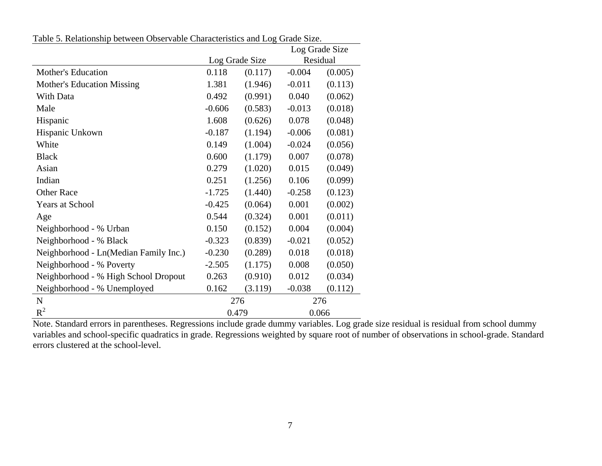|  |  | Table 5. Relationship between Observable Characteristics and Log Grade Size. |
|--|--|------------------------------------------------------------------------------|
|  |  |                                                                              |

|                                       |          |                | Log Grade Size |          |
|---------------------------------------|----------|----------------|----------------|----------|
|                                       |          | Log Grade Size |                | Residual |
| <b>Mother's Education</b>             | 0.118    | (0.117)        | $-0.004$       | (0.005)  |
| Mother's Education Missing            | 1.381    | (1.946)        | $-0.011$       | (0.113)  |
| With Data                             | 0.492    | (0.991)        | 0.040          | (0.062)  |
| Male                                  | $-0.606$ | (0.583)        | $-0.013$       | (0.018)  |
| Hispanic                              | 1.608    | (0.626)        | 0.078          | (0.048)  |
| Hispanic Unkown                       | $-0.187$ | (1.194)        | $-0.006$       | (0.081)  |
| White                                 | 0.149    | (1.004)        | $-0.024$       | (0.056)  |
| <b>Black</b>                          | 0.600    | (1.179)        | 0.007          | (0.078)  |
| Asian                                 | 0.279    | (1.020)        | 0.015          | (0.049)  |
| Indian                                | 0.251    | (1.256)        | 0.106          | (0.099)  |
| <b>Other Race</b>                     | $-1.725$ | (1.440)        | $-0.258$       | (0.123)  |
| <b>Years at School</b>                | $-0.425$ | (0.064)        | 0.001          | (0.002)  |
| Age                                   | 0.544    | (0.324)        | 0.001          | (0.011)  |
| Neighborhood - % Urban                | 0.150    | (0.152)        | 0.004          | (0.004)  |
| Neighborhood - % Black                | $-0.323$ | (0.839)        | $-0.021$       | (0.052)  |
| Neighborhood - Ln(Median Family Inc.) | $-0.230$ | (0.289)        | 0.018          | (0.018)  |
| Neighborhood - % Poverty              | $-2.505$ | (1.175)        | 0.008          | (0.050)  |
| Neighborhood - % High School Dropout  | 0.263    | (0.910)        | 0.012          | (0.034)  |
| Neighborhood - % Unemployed           | 0.162    | (3.119)        | $-0.038$       | (0.112)  |
| $\mathbf N$                           |          | 276            | 276            |          |
| $R^2$                                 | 0.479    |                | 0.066          |          |

Note. Standard errors in parentheses. Regressions include grade dummy variables. Log grade size residual is residual from school dummy variables and school-specific quadratics in grade. Regressions weighted by square root of number of observations in school-grade. Standard errors clustered at the school-level.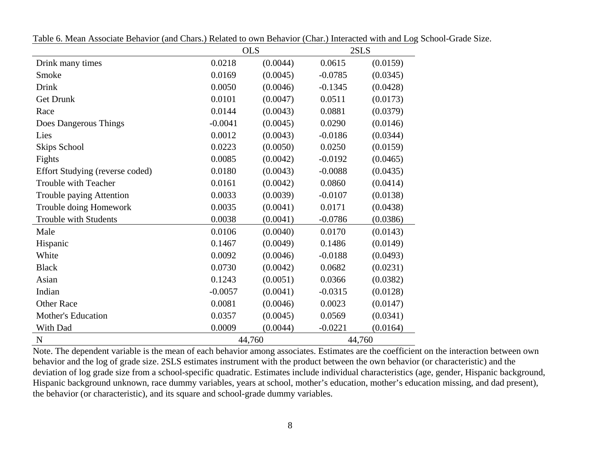|                                 |           | <b>OLS</b> |           | 2SLS     |
|---------------------------------|-----------|------------|-----------|----------|
| Drink many times                | 0.0218    | (0.0044)   | 0.0615    | (0.0159) |
| Smoke                           | 0.0169    | (0.0045)   | $-0.0785$ | (0.0345) |
| Drink                           | 0.0050    | (0.0046)   | $-0.1345$ | (0.0428) |
| <b>Get Drunk</b>                | 0.0101    | (0.0047)   | 0.0511    | (0.0173) |
| Race                            | 0.0144    | (0.0043)   | 0.0881    | (0.0379) |
| Does Dangerous Things           | $-0.0041$ | (0.0045)   | 0.0290    | (0.0146) |
| Lies                            | 0.0012    | (0.0043)   | $-0.0186$ | (0.0344) |
| Skips School                    | 0.0223    | (0.0050)   | 0.0250    | (0.0159) |
| Fights                          | 0.0085    | (0.0042)   | $-0.0192$ | (0.0465) |
| Effort Studying (reverse coded) | 0.0180    | (0.0043)   | $-0.0088$ | (0.0435) |
| Trouble with Teacher            | 0.0161    | (0.0042)   | 0.0860    | (0.0414) |
| Trouble paying Attention        | 0.0033    | (0.0039)   | $-0.0107$ | (0.0138) |
| Trouble doing Homework          | 0.0035    | (0.0041)   | 0.0171    | (0.0438) |
| Trouble with Students           | 0.0038    | (0.0041)   | $-0.0786$ | (0.0386) |
| Male                            | 0.0106    | (0.0040)   | 0.0170    | (0.0143) |
| Hispanic                        | 0.1467    | (0.0049)   | 0.1486    | (0.0149) |
| White                           | 0.0092    | (0.0046)   | $-0.0188$ | (0.0493) |
| <b>Black</b>                    | 0.0730    | (0.0042)   | 0.0682    | (0.0231) |
| Asian                           | 0.1243    | (0.0051)   | 0.0366    | (0.0382) |
| Indian                          | $-0.0057$ | (0.0041)   | $-0.0315$ | (0.0128) |
| <b>Other Race</b>               | 0.0081    | (0.0046)   | 0.0023    | (0.0147) |
| <b>Mother's Education</b>       | 0.0357    | (0.0045)   | 0.0569    | (0.0341) |
| With Dad                        | 0.0009    | (0.0044)   | $-0.0221$ | (0.0164) |
| N                               |           | 44,760     |           | 44,760   |

Table 6. Mean Associate Behavior (and Chars.) Related to own Behavior (Char.) Interacted with and Log School-Grade Size.

Note. The dependent variable is the mean of each behavior among associates. Estimates are the coefficient on the interaction between own behavior and the log of grade size. 2SLS estimates instrument with the product between the own behavior (or characteristic) and the deviation of log grade size from a school-specific quadratic. Estimates include individual characteristics (age, gender, Hispanic background, Hispanic background unknown, race dummy variables, years at school, mother's education, mother's education missing, and dad present), the behavior (or characteristic), and its square and school-grade dummy variables.